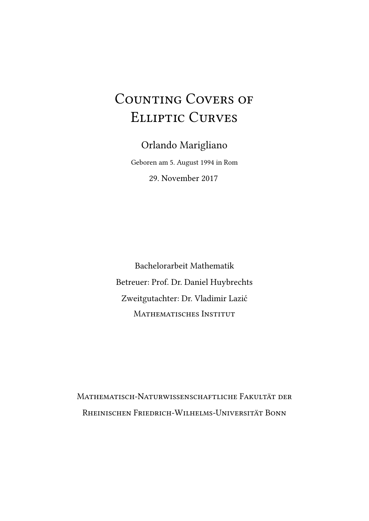# COUNTING COVERS OF Elliptic Curves

Orlando Marigliano Geboren am 5. August 1994 in Rom 29. November 2017

Bachelorarbeit Mathematik Betreuer: Prof. Dr. Daniel Huybrechts Zweitgutachter: Dr. Vladimir Lazić MATHEMATISCHES INSTITUT

Mathematisch-Naturwissenschaftliche Fakultät der Rheinischen Friedrich-Wilhelms-Universität Bonn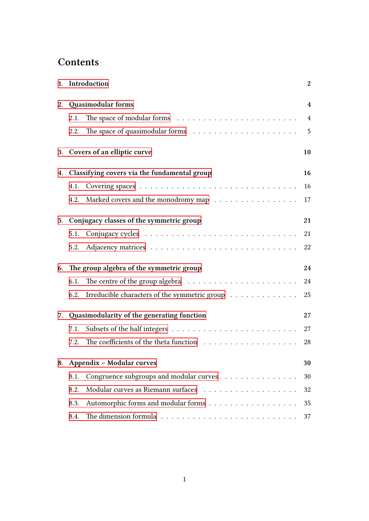# **Contents**

|    | 1. Introduction                                       | $\boldsymbol{2}$ |
|----|-------------------------------------------------------|------------------|
| 2. | Quasimodular forms                                    | 4                |
|    | 2.1.                                                  | 4                |
|    | 2.2.                                                  | 5                |
| 3. | Covers of an elliptic curve                           | 10               |
| 4. | Classifying covers via the fundamental group          | 16               |
|    | 4.1.                                                  | 16               |
|    | Marked covers and the monodromy map<br>4.2.           | 17               |
| 5. | Conjugacy classes of the symmetric group              | 21               |
|    | 5.1.                                                  | 21               |
|    | 5.2.                                                  | 22               |
|    | 6. The group algebra of the symmetric group           | 24               |
|    | 6.1.                                                  | 24               |
|    | Irreducible characters of the symmetric group<br>6.2. | 25               |
| 7. | Quasimodularity of the generating function            | 27               |
|    | 7.1.                                                  | 27               |
|    | 7.2.                                                  | 28               |
| 8. | Appendix - Modular curves                             | 30               |
|    | Congruence subgroups and modular curves<br>8.1.       | 30               |
|    | 8.2.                                                  | 32               |
|    | Automorphic forms and modular forms<br>8.3.           | 35               |
|    | 8.4.                                                  | 37               |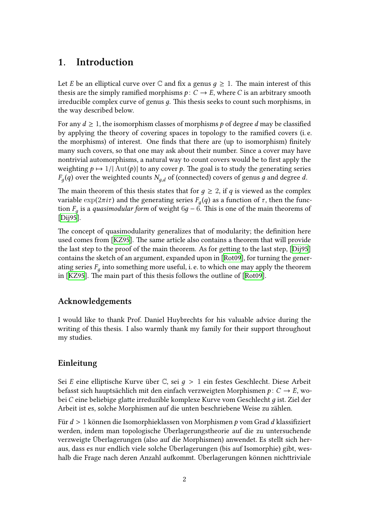# **1. Introduction**

<span id="page-3-0"></span>Let *E* be an elliptical curve over  $\mathbb C$  and fix a genus  $q \geq 1$ . The main interest of this thesis are the simply ramified morphisms  $p: C \to E$ , where *C* is an arbitrary smooth irreducible complex curve of genus *д*. This thesis seeks to count such morphisms, in the way described below.

For any  $d \geq 1$ , the isomorphism classes of morphisms p of degree d may be classified by applying the theory of covering spaces in topology to the ramified covers (i. e. the morphisms) of interest. One finds that there are (up to isomorphism) finitely many such covers, so that one may ask about their number. Since a cover may have nontrivial automorphisms, a natural way to count covers would be to first apply the weighting  $p \mapsto 1/|\text{Aut}(p)|$  to any cover p. The goal is to study the generating series  $F_g(q)$  over the weighted counts  $N_{g,d}$  of (connected) covers of genus  $g$  and degree  $d$ .

The main theorem of this thesis states that for  $q \geq 2$ , if *q* is viewed as the complex variable  $exp(2\pi i \tau)$  and the generating series  $F_g(q)$  as a function of *τ*, then the function *F<sup>д</sup>* is a *quasimodular form* of weight 6*д* − 6. This is one of the main theorems of [Dij95].

The concept of quasimodularity generalizes that of modularity; the definition here used comes from [KZ95]. The same article also contains a theorem that will provide t[he las](#page-42-0)t step to the proof of the main theorem. As for getting to the last step, [Dij95] contains the sketch of an argument, expanded upon in [Rot09], for turning the generating series  $F_g$  int[o some](#page-42-1)thing more useful, i. e. to which one may apply the theorem in [KZ95]. The main part of this thesis follows the outline of [Rot09].

#### **A[cknow](#page-42-1)ledgements**

I would like to thank Prof. Daniel Huybrechts for his valuable advice during the writing of this thesis. I also warmly thank my family for their support throughout my studies.

#### **Einleitung**

Sei *E* eine elliptische Kurve über C, sei *д* > 1 ein festes Geschlecht. Diese Arbeit befasst sich hauptsächlich mit den einfach verzweigten Morphismen *p* : *C* → *E*, wobei *C* eine beliebige glatte irreduzible komplexe Kurve vom Geschlecht *д* ist. Ziel der Arbeit ist es, solche Morphismen auf die unten beschriebene Weise zu zählen.

Für *d* > 1 können die Isomorphieklassen von Morphismen *p* vom Grad *d* klassifiziert werden, indem man topologische Überlagerungstheorie auf die zu untersuchende verzweigte Überlagerungen (also auf die Morphismen) anwendet. Es stellt sich heraus, dass es nur endlich viele solche Überlagerungen (bis auf Isomorphie) gibt, weshalb die Frage nach deren Anzahl aufkommt. Überlagerungen können nichttriviale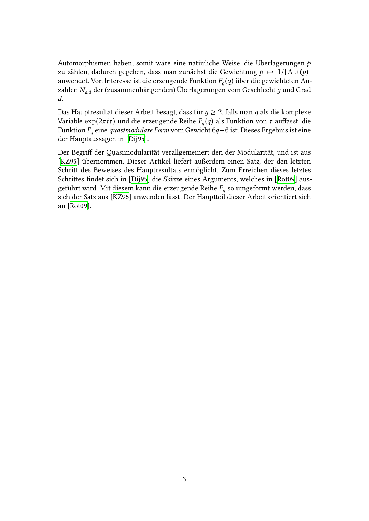Automorphismen haben; somit wäre eine natürliche Weise, die Überlagerungen *p* zu zählen, dadurch gegeben, dass man zunächst die Gewichtung  $p \mapsto 1/|\text{Aut}(p)|$ anwendet. Von Interesse ist die erzeugende Funktion *F<sup>д</sup>* (*q*) über die gewichteten Anzahlen *Nд*,*<sup>d</sup>* der (zusammenhängenden) Überlagerungen vom Geschlecht *д* und Grad *d*.

Das Hauptresultat dieser Arbeit besagt, dass für *д* ≥ 2, falls man *q* als die komplexe Variable exp(2*πiτ* ) und die erzeugende Reihe *F<sup>д</sup>* (*q*) als Funktion von *τ* auffasst, die Funktion *F<sup>д</sup>* eine *quasimodulare Form* vom Gewicht 6*д*−6 ist. Dieses Ergebnis ist eine der Hauptaussagen in [Dij95].

Der Begriff der Quasimodularität verallgemeinert den der Modularität, und ist aus [KZ95] übernommen. Dieser Artikel liefert außerdem einen Satz, der den letzten Schritt des Beweises d[es Ha](#page-42-0)uptresultats ermöglicht. Zum Erreichen dieses letztes Schrittes findet sich in [Dij95] die Skizze eines Arguments, welches in [Rot09] aus[geführ](#page-42-1)t wird. Mit diesem kann die erzeugende Reihe *F<sup>д</sup>* so umgeformt werden, dass sich der Satz aus [KZ95] anwenden lässt. Der Hauptteil dieser Arbeit orientiert sich an [Rot09].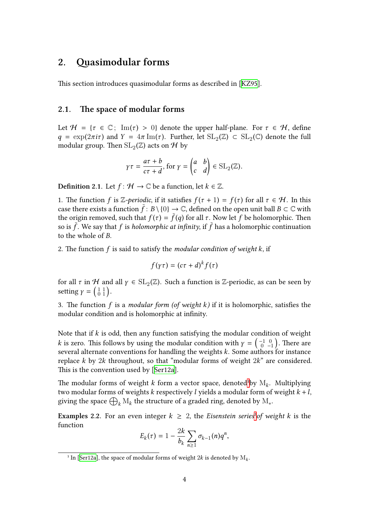### **2. Quasimodular forms**

<span id="page-5-0"></span>This section introduces quasimodular forms as described in [KZ95].

#### **2.1. The space of modular forms**

<span id="page-5-1"></span>Let  $\mathcal{H} = \{ \tau \in \mathbb{C}; \ \operatorname{Im}(\tau) > 0 \}$  denote the upper half-plane. For  $\tau \in \mathcal{H}$ , define  $q = \exp(2\pi i\tau)$  and  $Y = 4\pi \operatorname{Im}(\tau)$ . Further, let  $\operatorname{SL}_2(\mathbb{Z}) \subset \operatorname{SL}_2(\mathbb{C})$  denote the full modular group. Then  $\mathrm{SL}_2(\mathbb{Z})$  acts on  $\mathcal H$  by que de la composition de la modernière de la modernière de la modernière de la modernière de la modernière de la modernière de la modernière de la modernière de la modernière de la modernière de la modernière de la modern

$$
\gamma \tau = \frac{a\tau + b}{c\tau + d}
$$
, for  $\gamma = \begin{pmatrix} a & b \\ c & d \end{pmatrix} \in SL_2(\mathbb{Z})$ .

**Definition** 2.1. Let  $f: \mathcal{H} \to \mathbb{C}$  be a function, let  $k \in \mathbb{Z}$ .

1. The function *f* is Z-periodic, if it satisfies  $f(\tau + 1) = f(\tau)$  for all  $\tau \in H$ . In this case there exists a function  $f : B \setminus \{0\} \to \mathbb{C}$ , defined on the open unit ball  $B \subset \mathbb{C}$  with the origin removed, such that  $f(\tau) = f(q)$  for all  $\tau$ . Now let *f* be holomorphic. Then so is ˜*f* . We say that *f* is *holomorphic at infinity*, if ˜*f* has a holomorphic continuation to the whole of *B*.

2. The function *f* is said to satisfy the *modular condition of weight k*, if (

$$
f(\gamma \tau) = (c\tau + d)^k f(\tau)
$$

for all  $\tau$  in  $\mathcal H$  and all  $\gamma \in \mathrm{SL}_2(\mathbb Z)$ . Such a function is Z-periodic, as can be seen by 2. The function *f*<br>for all *τ* in *H* and<br>setting  $γ = \begin{pmatrix} 1 & 1 \\ 0 & 1 \end{pmatrix}$ .

3. The function *f* is a *modular form (of weight k)* if it is holomorphic, satisfies the ()modular condition and is holomorphic at infinity.

Note that if *k* is odd, then any function satisfying the modular condition of weight *k* is zero. This follows by using the modular condition with  $\gamma = \left( \begin{smallmatrix} -1 & 0 \ 0 & -1 \end{smallmatrix} \right)$ . There are several alternate conventions for handling the weights *k*. Some authors for instance replace *k* by 2*k* throughout, so that "modular forms of weight 2*k*" are considered. This is the convention used by [Ser12a].

The modular forms of weight  $k$  form a vector space, denoted<sup>1</sup>by  $\mathrm{M}_k$ . Multiplying two modular forms of weights *k* respectively *l* yields a modular form of weight *k* +*l*, replace *k* by 2*k* thre<br>This is the convention<br>The modular forms<br>two modular forms<br>giving the space  $\bigoplus$  $_{k}$  M $_{k}$  the str[ucture](#page-42-2) of a graded ring, denoted by  $\mathrm{M}_{*}.$ iy t

**Examples 2.2.** For an even integer  $k \geq 2$ , the *Eisenstein ser[ie](#page-5-2)s*<sup>2</sup>*of weight k* is the function

$$
E_k(\tau)=1-\frac{2k}{b_k}\sum_{n\geq 1}\sigma_{k-1}(n)q^n,
$$

<span id="page-5-3"></span><span id="page-5-2"></span><sup>&</sup>lt;sup>1</sup> In [Ser12a], the space of modular forms of weight  $2k$  is denoted by  $\mathrm{M}_k$ .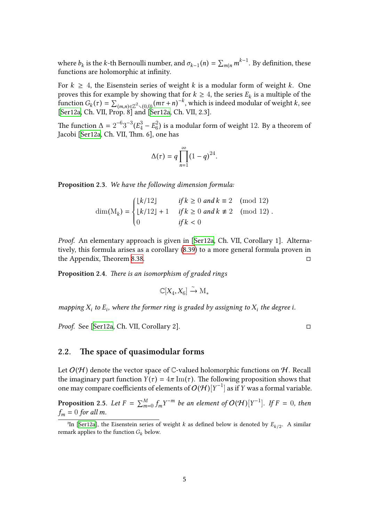where  $b_k$  is the *k*-th Bernoulli number, and  $\sigma_{k-1}(n) = \sum_{m|n} m^{k-1}$ . By definition, these functions are holomorphic at infinity.

For  $k \geq 4$ , the Eisenstein series of weight *k* is a modular form of weight *k*. One proves this for example by showing that for  $k \geq 4$ , the series  $E_k$  is a multiple of the function  $G_k(\tau) = \sum_{(m,n)\in\mathbb{Z}^2\setminus(0,0)} (m\tau+n)^{-k}$ , which is indeed modular of weight *k*, see [Ser12a, Ch. VII, Prop. 8] and [Ser12a, Ch. VII, 2.3]. ∏

The function  $\Delta = 2^{-6}3^{-3} (E_4^3 - E_6^2)$  $^{2}_{6}$ ) is a modular form of weight 12. By a theorem of Jacobi [Ser12a, Ch. VII, Thm. 6], one has

$$
\Delta(\tau) = q \prod_{n=1}^{\infty} (1 - q)^{24}.
$$

**Proposition 2.3.** *We have the following dimension formula:*

$$
\dim(M_k) = \begin{cases} \lfloor k/12 \rfloor & \text{if } k \ge 0 \text{ and } k \equiv 2 \pmod{12} \\ \lfloor k/12 \rfloor + 1 & \text{if } k \ge 0 \text{ and } k \not\equiv 2 \pmod{12} \\ 0 & \text{if } k < 0 \end{cases}
$$

*Proof.* An elementary approach is given in [Ser12a, Ch. VII, Corollary 1]. Alternatively, this formula arises as a corollary (8.39) to a more general formula proven in the Appendix, Theorem 8.38. □

**Proposition 2.4.** *There is an isomorphism [of g](#page-41-0)[raded r](#page-42-2)ings*

$$
\mathbb{C}[X_4,X_6]\xrightarrow{\sim} \mathcal{M}_*
$$

*mapping*  $X_i$  to  $E_i$ , where the former ring is graded by assigning to  $X_i$  the degree *i*.

*Proof.* See [Ser12a, Ch. VII, Corollary 2]. □

#### **2.2. Th[e space](#page-42-2) of quasimodular forms**

Let  $O(\mathcal{H})$  denote the vector space of C-valued holomorphic functions on  $\mathcal{H}.$  Recall the imaginary part function  $Y(\tau) = 4\pi \operatorname{Im}(\tau)$ . The following proposition shows that one may compare coefficients of elements of  $O(H)[Y^{-1}]$  as if *Y* was a formal variable.

**Proposition** 2.5. Let  $F = \sum_{m=0}^{M} f_m Y^{-m}$  be an element of  $O(\mathcal{H})[Y^{-1}]$ . If  $F = 0$ , then  $f_m = 0$  *for all m.* 

<sup>&</sup>lt;sup>2</sup>In [Ser12a], the Eisenstein series of weight *k* as defined below is denoted by  $E_{k/2}$ . A similar remark applies to the function  $G_k$  below.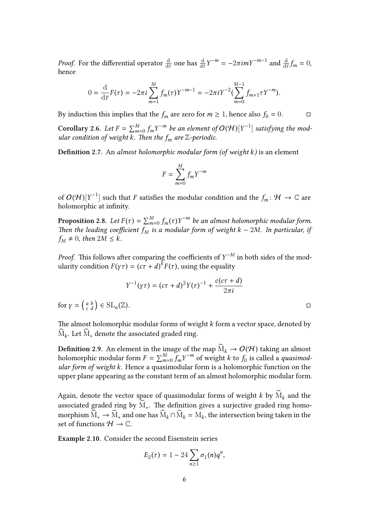*Proof.* For the differential operator  $\frac{d}{d\bar{\tau}}$  one has  $\frac{d}{d\bar{\tau}}Y^{-m} = -2\pi i mY^{-m-1}$  and  $\frac{d}{d\bar{\tau}}f_m = 0$ , hence

$$
0 = \frac{\mathrm{d}}{\mathrm{d}\bar{\tau}}F(\tau) = -2\pi i \sum_{m=1}^{M} f_m(\tau)Y^{-m-1} = -2\pi i Y^{-2} (\sum_{m=0}^{M-1} f_{m+1} \tau Y^{-m}).
$$

By induction this implies that the  $f_m$  are zero for  $m \ge 1$ , hence also  $f_0 = 0$ . □

**Corollary 2.6.** Let  $F = \sum_{m=0}^{M} f_m Y^{-m}$  be an element of  $O(\mathcal{H})[Y^{-1}]$  satisfying the mod*ular condition of weight k. Then the*  $f_m$  *are* Z-periodic.

**Definition 2.7.** An *almost holomorphic modular form (of weight k)* is an element

$$
F = \sum_{m=0}^{M} f_m Y^{-m}
$$

of  $O(\mathcal{H})[Y^{-1}]$  such that *F* satisfies the modular condition and the  $f_m\colon \mathcal{H}\to \mathbb{C}$  are holomorphic at infinity.

**Proposition** 2.8. Let  $F(\tau) = \sum_{m=0}^{M} f_m(\tau) Y^{-m}$  be an almost holomorphic modular form. *Then the leading coefficient*  $f_M$  *is a modular form of weight*  $k - 2M$ *. In particular, if*  $f_M \neq 0$ , then  $2M \leq k$ .

*Proof.* This follows after comparing the coefficients of  $Y^{-M}$  in both sides of the modularity condition  $F(\gamma \tau) = (c\tau + d)^k F(\tau)$ , using the equality

$$
Y^{-1}(\gamma \tau) = (c\tau + d)^2 Y(\tau)^{-1} + \frac{c(c\tau + d)}{2\pi i}
$$

ularity condition  $F($ <br>for  $\gamma = \begin{pmatrix} a & b \\ c & d \end{pmatrix} \in SL_n$  $(\mathbb{Z}).$ 

The almost holomorphic modular forms of weight  $k$  form a vector space, denoted by  $M_k$ . Let  $M_*$  denote the associated graded ring.

**Definition 2.9.** An element in the image of the map  $\widehat{M}_k \to O(\mathcal{H})$  taking an almost holomorphic modular form  $F = \sum_{m=0}^{M} f_m Y^{-m}$  of weight *k* to  $f_0$  is called a *quasimodular form of weight k*. Hence a quasimodular form is a holomorphic function on the upper plane appearing as the constant term of an almost holomorphic modular form.

Again, denote the vector space of quasimodular forms of weight  $k$  by  $\mathrm{M}_k$  and the associated graded ring by  $\mathrm{M}_*$ . The definition gives a surjective graded ring homomorphism  $\widehat{M}_* \to \widetilde{M}_*$  and one has  $\widehat{M}_k \cap \widetilde{M}_k = M_k$ , the intersection being taken in the<br>set of functions  $\mathcal{H} \to \mathbb{C}$ .<br>**Example 2.10**. Consider the second Eisenstein series<br> $E_2(\tau) = 1 - 24 \sum \sigma_1(n) q^n$ , set of functions  $H \to \mathbb{C}$ .

**Example 2.10.** Consider the second Eisenstein series

$$
E_2(\tau) = 1 - 24 \sum_{n \ge 1} \sigma_1(n) q^n,
$$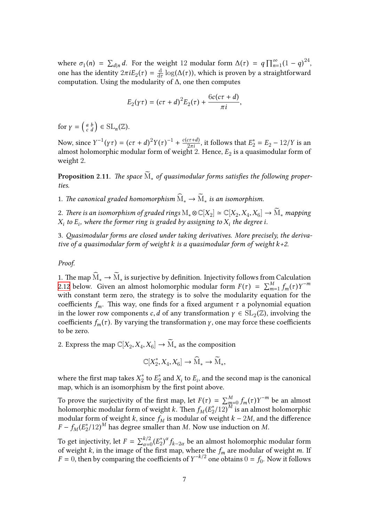where  $\sigma_1(n) = \sum_{d|n} d$ . For the weight 12 modular form  $\Delta(\tau) = q \prod_{n=1}^{\infty}$  $\sum_{n=1}^{\infty} (1-q)^{24},$ one has the identity  $2\pi i E_2(\tau) = \frac{d}{d\tau}$ d*τ* log(∆(*τ* )), which is proven by a straightforward computation. Using the modularity of ∆, one then computes (

$$
E_2(\gamma \tau) = (c\tau + d)^2 E_2(\tau) + \frac{6c(c\tau + d)}{\pi i},
$$

*E*<br> *For*  $\gamma = \begin{pmatrix} a & b \\ c & d \end{pmatrix} \in SL_n(\mathbb{Z})$ .

Now, since  $Y^{-1}(\gamma \tau) = (c\tau + d)^2 Y(\tau)^{-1} + \frac{c(c\tau + d)}{2\pi i}$  $\frac{c\tau+d}{2\pi i}$ , it follows that  $E_2^* = E_2 - 12/Y$  is an almost holomorphic modular form of weight  $2$ . Hence,  $E_2$  is a quasimodular form of weight 2.

**Proposition** 2.11. The space  $\text{M}_∗$  of quasimodular forms satisfies the following proper*ties.*

<span id="page-8-0"></span>1. The canonical graded homomorphism  $\dot{M}_* \to \dot{M}_*$  is an isomorphism.

2. *There is an isomorphism of graded rings*  $M_* \otimes \mathbb{C}[X_2] \simeq \mathbb{C}[X_2, X_4, X_6] \rightarrow M_*$  *mapping*  $X_i$  to  $E_i$ , where the former ring is graded by assigning to  $X_i$  the degree i.

3. *Quasimodular forms are closed under taking derivatives. More precisely, the derivative of a quasimodular form of weight k is a quasimodular form of weight k+2.* ∑

*Proof.*

1. The map  $M_*$  →  $M_*$  is surjective by definition. Injectivity follows from Calculation 2.12 below. Given an almost holomorphic modular form  $F(\tau) = \sum_{m=1}^{M} f_m(\tau) Y^{-m}$ with constant term zero, the strategy is to solve the modularity equation for the coefficients  $f_m$ . This way, one finds for a fixed argument  $\tau$  a polynomial equation [in th](#page-9-0)e lower row components *c*, *d* of any transformation  $\gamma \in SL_2(\mathbb{Z})$ , involving the coefficients  $f_m(\tau)$ . By varying the transformation *γ*, one may force these coefficients to be zero.

2. Express the map  $\mathbb{C}[X_2, X_4, X_6] \to M_*$  as the composition

$$
\mathbb{C}[X_2^*, X_4, X_6] \to \widehat{M}_* \to \widetilde{M}_*,
$$

where the first map takes  $X_2^*$  $_2^*$  to  $E_2^*$  $_2^*$  and  $X_i$  to  $E_i$ , and the second map is the canonical map, which is an isomorphism by the first point above.

To prove the surjectivity of the first map, let  $F(\tau) = \sum_{m=0}^{M} f_m(\tau) Y^{-m}$  be an almost holomorphic modular form of weight *k*. Then  $f_M(E_2^*)$  $\binom{2}{2}$ /12)<sup>*M*</sup> is an almost holomorphic modular form of weight *k*, since  $f_M$  is modular of weight  $k - 2M$ , and the difference  $F - f_M(E_2^*)$  $2^*(12)^M$  has degree smaller than *M*. Now use induction on *M*.

To get injectivity, let  $F = \sum_{\alpha=0}^{k/2}$  $\frac{k}{2}$ <sub>α=0</sub> ( $E_2^*$ 2 ) *α fk*−2*<sup>α</sup>* be an almost holomorphic modular form of weight *k*, in the image of the first map, where the *f<sup>m</sup>* are modular of weight *m*. If  $F = 0$ , then by comparing the coefficients of  $Y^{-k/2}$  one obtains  $0 = f_0$ . Now it follows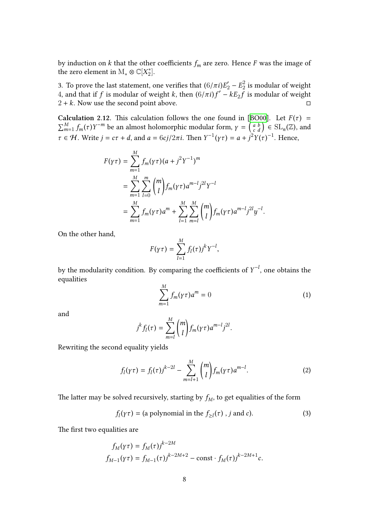by induction on  $k$  that the other coefficients  $f_m$  are zero. Hence  $F$  was the image of the zero element in  $\mathrm{M}_{*} \otimes \mathbb{C}[X_{2}^{*}]$  $_{2}^{*}$ ].

3. To prove the last statement, one verifies that  $(6/\pi i)E_2^{'}-E_2^2$  $\frac{2}{2}$  is modular of weight 4, and that if *f* is modular of weight *k*, then  $(6/\pi i)f' - kE_2 \tilde{f}$  is modular of weight  $2 + k$ . Now use the second point above.  $\Box$ **Calculation 2.12.** This calculation follows the one found in [BO00]. Let  $F(\tau) = \sum_{m=1}^{M} f_m(\tau) Y^{-m}$  be an almost holomorphic modular form,  $\gamma = \begin{pmatrix} a & b \\ c & d \end{pmatrix} \in SL_n(\mathbb{Z})$ , and  $\pi$ 

<span id="page-9-0"></span> $_{m=1}^{M} f_m(\tau) Y^{-m}$  be an almost holomorphic modular form,  $\gamma = \begin{pmatrix} a & b \\ c & d \end{pmatrix} \in SL_n(\mathbb{Z})$ , and  $\tau \in \mathcal{H}$ . Write  $j = c\tau + d$ , and  $a = 6cj/2\pi i$ . Then  $Y^{-1}(\gamma \tau) = a + j^2 Y(\tau)^{-1}$ . Hence, Calculation 2.12. This calculation follows the one found in [BO00]. Let  $F(\tau)$  =  $\overline{a}$  and  $\overline{a} = 0$ 

$$
F(\gamma \tau) = \sum_{m=1}^{M} f_m(\gamma \tau) (a + j^2 Y^{-1})^m
$$
  
= 
$$
\sum_{m=1}^{M} \sum_{l=0}^{m} {m \choose l} f_m(\gamma \tau) a^{m-l} j^{2l} Y^{-l}
$$
  
= 
$$
\sum_{m=1}^{M} f_m(\gamma \tau) a^m + \sum_{l=1}^{M} \sum_{m=l}^{M} {m \choose l} f_m(\gamma \tau) a^{m-l} j^{2l} y^{-l}.
$$

On the other hand,

$$
F(\gamma \tau) = \sum_{l=1}^{M} f_l(\tau) j^k Y^{-l},
$$

by the modularity condition. By comparing the coefficients of *Y* −*l* , one obtains the equalities

$$
\sum_{m=1}^{M} f_m(\gamma \tau) a^m = 0 \tag{1}
$$

and

$$
j^{k} f_l(\tau) = \sum_{m=l}^{M} {m \choose l} f_m(\gamma \tau) a^{m-l} j^{2l}.
$$

Rewriting the second equality yields

$$
f_l(\gamma \tau) = f_l(\tau) j^{k-2l} - \sum_{m=l+1}^{M} {m \choose l} f_m(\gamma \tau) a^{m-l}.
$$
 (2)

The latter may be solved recursively, starting by  $f_M$ , to get equalities of the form

$$
f_l(\gamma \tau) = \text{(a polynomial in the } f_{\geq l}(\tau) \text{ , } j \text{ and } c\text{)}. \tag{3}
$$

The first two equalities are

$$
f_M(\gamma \tau) = f_M(\tau) j^{k-2M}
$$
  

$$
f_{M-1}(\gamma \tau) = f_{M-1}(\tau) j^{k-2M+2} - \text{const} \cdot f_M(\tau) j^{k-2M+1} c.
$$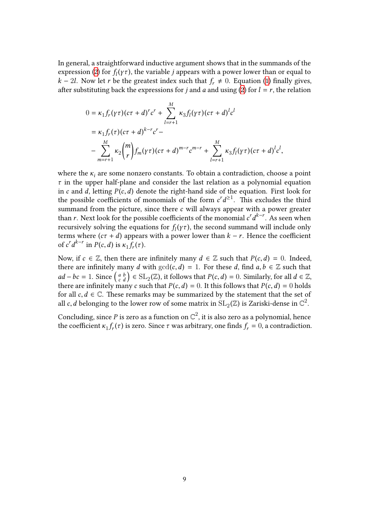In general, a straightforward inductive argument shows that in the summands of the expression (2) for  $f_l(\gamma \tau)$ , the variable *j* appears with a power lower than or equal to *k* − 2*l*. Now let *r* be the greatest index such that  $f_r \neq 0$ . Equation (1) finally gives, after substituting back the expressions for *j* and *a* and using (2) for  $l = r$ , the relation

$$
0 = \kappa_1 f_r(\gamma \tau) (c\tau + d)^r c^r + \sum_{l=r+1}^{M} \kappa_3 f_l(\gamma \tau) (c\tau + d)^l c^l
$$
  
=  $\kappa_1 f_r(\tau) (c\tau + d)^{k-r} c^r -$   
-  $\sum_{m=r+1}^{M} \kappa_2 {m \choose r} f_m(\gamma \tau) (c\tau + d)^{m-r} c^{m-r} + \sum_{l=r+1}^{M} \kappa_3 f_l(\gamma \tau) (c\tau + d)^l c^l,$ 

where the  $\kappa_i$  are some nonzero constants. To obtain a contradiction, choose a point *τ* in the upper half-plane and consider the last relation as a polynomial equation in *c* and *d*, letting  $P(c, d)$  denote the right-hand side of the equation. First look for the possible coefficients of monomials of the form  $c^r d^{\geq 1}$ . This excludes the third summand from the picture, since there *c* will always appear with a power greater than *r*. Next look for the possible coefficients of the monomial  $c^r d^{k-r}$ . As seen when recursively solving the equations for  $f_l(\gamma \tau)$ , the second summand will include only terms where  $(c\tau + d)$  appears with a power lower than  $k - r$ . Hence the coefficient of  $c^r d^{k-r}$  in  $P(c, d)$  is  $\kappa_1 f_r(\tau)$ .

Now, if  $c \in \mathbb{Z}$ , then there are infinitely many  $d \in \mathbb{Z}$  such that  $P(c, d) = 0$ . Indeed, there are infinitely many *d* with  $gcd(c, d) = 1$ . For these *d*, find  $a, b \in \mathbb{Z}$  such that *a d d*<sup>*k*-*r*</sup> in *P*(*c*,*d*) is  $\kappa_1 f_r(\tau)$ .<br>
Now, if *c* ∈ Z, then there are infinitely many *d* ∈ Z such that *P*(*c*,*d*) = 0. Indeed, there are infinitely many *d* with  $gcd(c, d) = 1$ . For these *d*, find *a*, *b* there are infinitely many  $c$  such that  $P(c, d) = 0$ . It this follows that  $P(c, d) = 0$  holds for all  $c, d \in \mathbb{C}$ . These remarks may be summarized by the statement that the set of all *c*, *d* belonging to the lower row of some matrix in  $\mathrm{SL}_2(\mathbb{Z})$  is Zariski-dense in  $\mathbb{C}^2$ .

Concluding, since  $P$  is zero as a function on  $\mathbb{C}^2$ , it is also zero as a polynomial, hence the coefficient  $\kappa_1 f_r(\tau)$  is zero. Since  $\tau$  was arbitrary, one finds  $f_r = 0$ , a contradiction.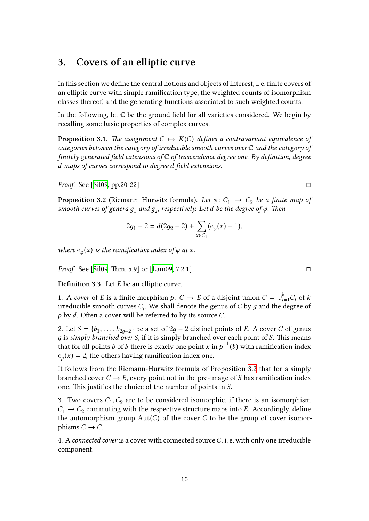# **3. Covers of an elliptic curve**

<span id="page-11-0"></span>In this section we define the central notions and objects of interest, i. e. finite covers of an elliptic curve with simple ramification type, the weighted counts of isomorphism classes thereof, and the generating functions associated to such weighted counts.

In the following, let  $\mathbb C$  be the ground field for all varieties considered. We begin by recalling some basic properties of complex curves.

**Proposition 3.1.** *The assignment*  $C \mapsto K(C)$  *defines a contravariant equivalence of categories between the category of irreducible smooth curves over* C *and the category of finitely generated field extensions of* C *of trascendence degree one. By definition, degree d maps of curves correspond to degree d field extensions.*

<span id="page-11-2"></span>*Proof.* See [Sil09, pp.20-22] □

**Proposition 3.2** (Riemann–Hurwitz formula). Let  $\varphi: C_1 \to C_2$  be a finite map of *smooth cur[ves of](#page-42-3) genera д*<sup>1</sup> *and д*<sup>2</sup> *, respectively. Let d be the degree of ϕ. Then*

$$
2g_1 - 2 = d(2g_2 - 2) + \sum_{x \in C_1} (e_{\varphi}(x) - 1),
$$

<span id="page-11-1"></span>*where*  $e_{\varphi}(x)$  *is the ramification index of*  $\varphi$  *at x.* 

*Proof.* See [Sil09, Thm. 5.9] or [Lam09, 7.2.1]. □

**Definition 3.3.** Let *E* be an elliptic curve.

1. A *cover* [of](#page-42-3) *E* is a finite mor[phism](#page-42-4)  $p: C \rightarrow E$  of a disjoint union  $C = \bigcup_{i=1}^{k} C_i$  of *k* irreducible smooth curves *C<sup>i</sup>* . We shall denote the genus of *C* by *д* and the degree of *p* by *d*. Often a cover will be referred to by its source *C*.

2. Let  $S = \{b_1, \ldots, b_{2g-2}\}$  be a set of  $2g - 2$  distinct points of *E*. A cover *C* of genus *д* is *simply branched over S*, if it is simply branched over each point of *S*. This means that for all points *b* of *S* there is exacly one point *x* in  $p^{-1}(b)$  with ramification index  $e_p(x) = 2$ , the others having ramification index one.

It follows from the Riemann-Hurwitz formula of Proposition 3.2 that for a simply branched cover  $C \rightarrow E$ , every point not in the pre-image of *S* has ramification index one. This justifies the choice of the number of points in *S*.

3. Two covers  $C_1, C_2$  are to be considered isomorphic, if the[re is](#page-11-1) an isomorphism  $C_1 \rightarrow C_2$  commuting with the respective structure maps into *E*. Accordingly, define the automorphism group Aut(*C*) of the cover *C* to be the group of cover isomorphisms  $C \rightarrow C$ .

4. A *connected cover* is a cover with connected source*C*, i. e. with only one irreducible component.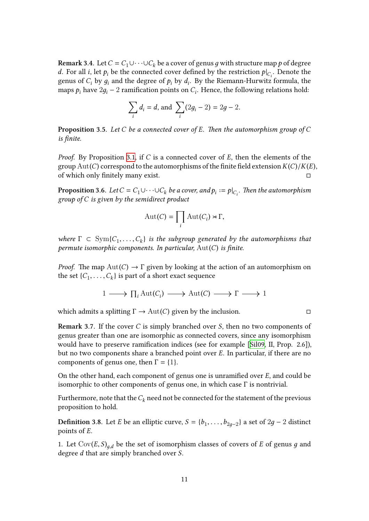**Remark 3.4.** Let  $C = C_1 \cup \cdots \cup C_k$  be a cover of genus *g* with structure map *p* of degree *d*. For all *i*, let  $p_i$  be the connected cover defined by the restriction  $p|_{C_i}$ . Denote the genus of  $C_i$  by  $g_i$  and the degree of  $p_i$  by  $d_i$ . By the Riemann-Hurwitz formula, the maps  $p_i$  have  $2g_i - 2$  ramification points on  $C_i$ . Hence, the following relations hold:  $\theta$ *i*  $\theta$ *i*  $\theta$ *i* a cover connected cover connected cover connected cover connected cover  $\theta$  *d*<sub>*i*</sub> = *d*, and  $\sum$ 

$$
\sum_{i} d_i = d, \text{ and } \sum_{i} (2g_i - 2) = 2g - 2.
$$

**Proposition 3.5.** *Let C be a connected cover of E. Then the automorphism group of C is finite.*

*Proof.* By Proposition 3.1, if *C* is a connected cover of *E*, then the elements of the group Aut(*C*) correspond to the automorphisms of the finite field extension*K*(*C*)/*K*(*E*), of which only finitely many exist. □

**Proposition 3.6.** *Let*  $C = C_1 \cup \cdots \cup C_k$  $C = C_1 \cup \cdots \cup C_k$  $C = C_1 \cup \cdots \cup C_k$  *be a cover, and*  $p_i := p|_{C_i}$ *. Then the automorphism group of C is given by the semidirect product*

$$
Aut(C) = \prod_i Aut(C_i) \rtimes \Gamma,
$$

<span id="page-12-0"></span>*where*  $\Gamma \subset \text{Sym}\{C_1, \ldots, C_k\}$  *is the subgroup generated by the automorphisms that permute isomorphic components. In particular,* Aut(*C*) *is finite.* ∏

*Proof.* The map  $Aut(C) \to \Gamma$  given by looking at the action of an automorphism on the set  $\{C_1, \ldots, C_k\}$  is part of a short exact sequence

$$
1 \longrightarrow \prod_i \text{Aut}(C_i) \longrightarrow \text{Aut}(C) \longrightarrow \Gamma \longrightarrow 1
$$

which admits a splitting  $\Gamma \to \text{Aut}(C)$  given by the inclusion.  $\Box$ 

**Remark 3.7.** If the cover *C* is simply branched over *S*, then no two components of genus greater than one are isomorphic as connected covers, since any isomorphism would have to preserve ramification indices (see for example [Sil09, II, Prop. 2.6]), but no two components share a branched point over *E*. In particular, if there are no components of genus one, then  $\Gamma = \{1\}$ .

On the other hand, each component of genus one is unramified [over](#page-42-3) *E*, and could be isomorphic to other components of genus one, in which case  $\Gamma$  is nontrivial.

Furthermore, note that the  $C_k$  need not be connected for the statement of the previous proposition to hold.

**Definition** 3.8. Let *E* be an elliptic curve,  $S = \{b_1, \ldots, b_{2g-2}\}$  a set of 2*g* − 2 distinct points of *E*.

1. Let  $Cov(E, S)_{q,d}$  be the set of isomorphism classes of covers of *E* of genus *g* and degree *d* that are simply branched over *S*.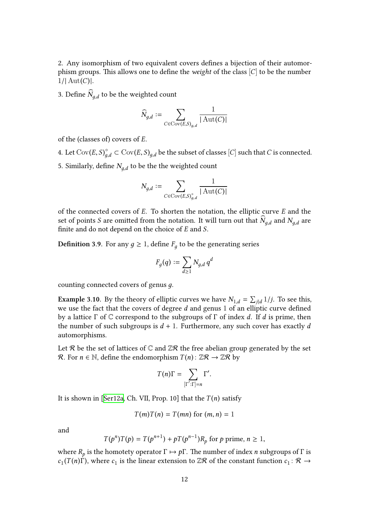2. Any isomorphism of two equivalent covers defines a bijection of their automorphism groups. This allows one to define the *weight* of the class  $[C]$  to be the number  $1/|\text{Aut}(C)|$ .

3. Define  $N_{g,d}$  to be the weighted count

$$
\widehat{N}_{g,d} := \sum_{C \in \text{Cov}(E,S)_{g,d}} \frac{1}{|\operatorname{Aut}(C)|}
$$

of the (classes of) covers of *E*.

4. Let  $Cov(E, S)_{g,d}^{\circ} \subset Cov(E, S)_{g,d}$  be the subset of classes  $[C]$  such that *C* is connected. 5. Similarly, define  $N_{g,d}$  to be the the weighted count

$$
N_{g,d}:=\sum_{C\in{\rm Cov}(E,S)_{g,d}^{\circ}}\frac{1}{|\operatorname{Aut}(C)|}
$$

of the connected covers of *E*. To shorten the notation, the elliptic curve *E* and the set of points  $S$  are omitted from the notation. It will turn out that  $N_{g,d}$  and  $N_{g,d}$  are finite and do not depend on the choice of *E* and *S*.

**Definition 3.9.** For any  $g \geq 1$ , define  $F_g$  to be the generating series

$$
F_g(q):=\sum_{d\geq 1}N_{g,d}\,q^d
$$

counting connected covers of genus *д*.

**Example 3.10.** By the theory of elliptic curves we have  $N_{1,d} = \sum_{j|d} 1/j$ . To see this, we use the fact that the covers of degree *d* and genus 1 of an elliptic curve defined by a lattice Γ of C correspond to the subgroups of Γ of index *d*. If *d* is prime, then the number of such subgroups is *d* + 1. Furthermore, any such cover has exactly *d* automorphisms.

<span id="page-13-0"></span>Let R be the set of lattices of  $\mathbb C$  and  $\mathbb Z$ R the free abelian group generated by the set *R*. For *n* ∈ N, define the endomorphism  $T(n)$ :  $\mathbb{Z}R$  →  $\mathbb{Z}R$  by

$$
T(n)\Gamma = \sum_{[\Gamma':\Gamma]=n} \Gamma'.
$$

It is shown in [Ser12a, Ch. VII, Prop. 10] that the  $T(n)$  satisfy

$$
T(m)T(n) = T(mn)
$$
 for  $(m, n) = 1$ 

and

$$
T(p^n)T(p) = T(p^{n+1}) + pT(p^{n-1})R_p \text{ for } p \text{ prime, } n \ge 1,
$$

where  $R_p$  is the homotety operator  $\Gamma \mapsto p\Gamma$ . The number of index *n* subgroups of  $\Gamma$  is  $c_1(T(n)\hat{\Gamma})$ , where  $c_1$  is the linear extension to  $\mathbb{Z}\mathcal{R}$  of the constant function  $c_1 \colon \mathcal{R} \to$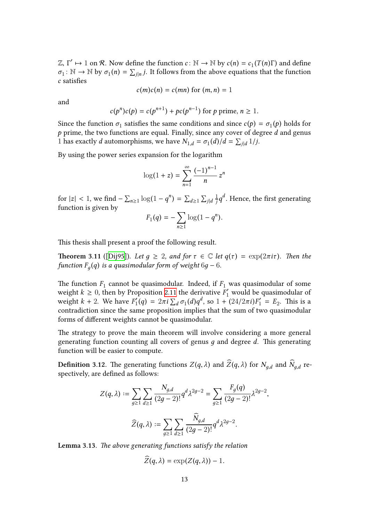$\mathbb{Z}, \Gamma' \mapsto 1$  on *R*. Now define the function *c*: N → N by *c*(*n*) = *c*<sub>1</sub>(*T*(*n*)Γ) and define  $\sigma_1: \mathbb{N} \to \mathbb{N}$  by  $\sigma_1(n) = \sum_{j|n} j$ . It follows from the above equations that the function *c* satisfies

$$
c(m)c(n) = c(mn)
$$
 for  $(m, n) = 1$ 

and

$$
c(p^n)c(p) = c(p^{n+1}) + pc(p^{n-1})
$$
 for *p* prime,  $n \ge 1$ .

Since the function  $\sigma_1$  satisfies the same conditions and since  $c(p) = \sigma_1(p)$  holds for  $p$  prime, the two functions are equal. Finally, since any cover of degree  $d$  and genus 1 has exactly *d* automorphisms, we have  $N_{1,d} = \sigma_1(d)/d = \sum_{j|d} 1/j$ .

By using the power series expansion for the logarithm  $Z^2$ 

$$
\log(1+z) = \sum_{n=1}^{\infty} \frac{(-1)^{n-1}}{n} z^n
$$

for  $|z| < 1$ , we find  $-\sum_{n\geq 1} \log(1 - q^n) = \sum_{d\geq 1} \sum_{j|d} \frac{1}{j}$  $\frac{1}{j}q^d$ . Hence, the first generating function is given by

$$
F_1(q) = -\sum_{n\geq 1} \log(1 - q^n).
$$

This thesis shall present a proof the following result.

**Theorem 3.11** ([Dij95]). Let  $q \geq 2$ , and for  $\tau \in \mathbb{C}$  let  $q(\tau) = \exp(2\pi i \tau)$ . Then the *function*  $F_g(q)$  *is a quasimodular form of weight* 6*g* − 6*.* 

The function  $F_1$  [canno](#page-42-0)t be quasimodular. Indeed, if  $F_1$  was quasimodular of some weight  $k \geq 0$ , then by Proposition 2.11 the derivative  $F'_1$  would be quasimodular of weight  $k + 2$ . We have  $F'_1$  $\int_{1}^{7}(q) = 2\pi i \sum_{d} \sigma_1(d)q^d$ , so  $1 + (24/2\pi i)F'_1 = E_2$ . This is a contradiction since the same proposition implies that the sum of two quasimodular forms of different weights cannot b[e qu](#page-8-0)asimodular.

The strategy to prove the main theorem will involve considering a more general generating function counting all covers of genus *д* and degree *d*. This generating function will be easier to compute.

**Definition** 3.12. The generating functions  $Z(q, \lambda)$  and  $Z(q, \lambda)$  for  $N_{g,d}$  and  $N_{g,d}$  respectively, are defined as follows:

$$
Z(q,\lambda):=\sum_{g\geq 1}\sum_{d\geq 1}\frac{N_{g,d}}{(2g-2)!}q^d\lambda^{2g-2}=\sum_{g\geq 1}\frac{F_g(q)}{(2g-2)!}\lambda^{2g-2},
$$
  

$$
\widehat{Z}(q,\lambda):=\sum_{g\geq 1}\sum_{d\geq 1}\frac{\widehat{N}_{g,d}}{(2g-2)!}q^d\lambda^{2g-2}.
$$

<span id="page-14-0"></span>**Lemma 3.13.** *The above generating functions satisfy the relation*

$$
\widehat{Z}(q,\lambda)=\exp(Z(q,\lambda))-1.
$$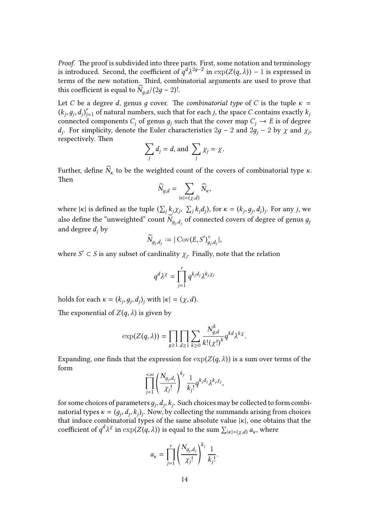*Proof.* The proof is subdivided into three parts. First, some notation and terminology is introduced. Second, the coefficient of  $q^{d} \lambda^{2g-2}$  in  $\exp(Z(q, \lambda)) - 1$  is expressed in terms of the new notation. Third, combinatorial arguments are used to prove that this coefficient is equal to  $\dot{N}_{g,d}/(2g-2)!$ .

Let *C* be a degree *d*, genus *g* cover. The *combinatorial type* of *C* is the tuple  $\kappa$  = *x k*<sub>*j*</sub>, *d*<sub>*j*</sub>)<sup>*j*<sub>*j*</sub> = 1 of natural numbers, such that for each *j*, the space *C* contains exactly *k*<sub>*j*</sub> connected components *C<sub>j</sub>* of genus *g<sub>j</sub>* such that the cover map *C<sub>j</sub>* → *E* is of degree *d<sub>j</sup>*</sub> connected components  $C_j$  of genus  $g_j$  such that the cover map  $C_j \to E$  is of degree *d*<sub>*j*</sub>. For simplicity, denote the Euler characteristics 2*g* − 2 and 2*g*<sup>*j*</sup> − 2 by *χ* and *χ*<sup>*j*</sup>. respectively. Then

$$
\sum_j d_j = d, \text{ and } \sum_j \chi_j = \chi.
$$

Further, define  $N_{\kappa}$  to be the weighted count of the covers of combinatorial type  $\kappa$ . Then

$$
\widehat{N}_{g,d} = \sum_{|\kappa| = (\chi,d)} \widehat{N}_{\kappa},
$$

where  $|\kappa|$  is defined as the tuple  $(\sum_j k_j \chi_j, \sum_j k_j d_j)$ , for  $\kappa = (k_j, g_j, d_j)_j$ . For any j, we also define the "unweighted" count  $N_{g_j, d_j}$  of connected covers of degree of genus  $g_j$ and degree *d<sup>j</sup>* by

$$
\widetilde{N}_{g_j,d_j}:=|\operatorname{Cov}(E,S')^\circ_{g_j,d_j}|,
$$

where  $S' \subset S$  is any subset of cardinality  $\chi_j$ . Finally, note that the relation

$$
q^d\lambda^\chi=\prod_{j=1}^r q^{k_jd_j}\lambda^{k_j\chi_j}
$$

holds for each  $\kappa = (k_j, g_j, d_j)_j$  with  $|\kappa| = (\chi, d)$ .

The exponential of  $Z(q, \lambda)$  is given by

$$
\exp(Z(q,\lambda)) = \prod_{g\geq 1} \prod_{d\geq 1} \sum_{k\geq 0} \frac{N_{g,d}^k}{k!(\chi!)^k} q^{kd} \lambda^{k\chi}.
$$

Expanding, one finds that the expression for  $exp(Z(q, \lambda))$  is a sum over terms of the form

$$
\prod_{j=1}^{<\infty} \left(\frac{N_{g_j,d_j}}{\chi_j!}\right)^{k_j} \frac{1}{k_j!} q^{k_j d_j} \lambda^{k_j \chi_j},
$$

for some choices of parameters  $g_j, d_j, k_j$ . Such choices may be collected to form combinatorial types  $\kappa = (g_j, d_j, k_j)_j$ . Now, by collecting the summands arising from choices that induce combinatorial types of the same absolute value |*κ*|, one obtains that the for some choices of parameters  $g_j$ ,  $d_j$ ,  $k_j$ . Such choices may be collected to for natorial types  $\kappa = (g_j, d_j, k_j)_j$ . Now, by collecting the summands arising from that induce combinatorial types of the same absolute val

$$
a_{\kappa} = \prod_{j=1}^r \left(\frac{N_{g_j,d_j}}{\chi_j!}\right)^{k_j} \frac{1}{k_j!}.
$$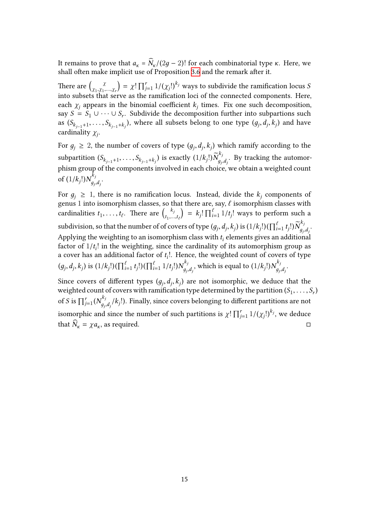It remains to prove that  $a_k = N_k/(2g − 2)!$  for each combinatorial type *κ*. Here, we shall often make implicit use of Proposition 3.6 and the remark after it. It remains to pr<br>shall often make<br>There are  $\begin{pmatrix} \chi & \chi \\ \chi & \chi \end{pmatrix}$ 

*χ*1 ,*χ*<sup>1</sup> ,...,*χ<sup>r</sup>* =  $\chi$ !  $\prod_{j=1}^{r} 1/(\chi_j!)^{k_j}$  ways to subdivide the ramification locus *S* into subsets that serve as the ramification loci of the connected components. Here, each  $\chi_j$  appears in the binomial coefficient  $k_j$  $k_j$  times. Fix one such decomposition, say  $S = S_1 \cup \cdots \cup S_r$ . Subdivide the decomposition further into subpartions such as  $(S_{k_{j-1}+1},\ldots,S_{k_{j-1}+k_j}),$  where all subsets belong to one type  $(g_j,d_j,k_j)$  and have cardinality *χ<sup>j</sup>* .

For  $g_j \geq 2$ , the number of covers of type  $(g_j, d_j, k_j)$  which ramify according to the  $\sup_{f \in \mathcal{F}} \mathcal{S}(f) = \sup_{f \in \mathcal{F}} \{ \int_{f \in \mathcal{F}} \mathcal{S}(f) \mathcal{S}(f)} \mathcal{S}(f) = \sup_{f \in \mathcal{F}} \{ \int_{f \in \mathcal{F}} \mathcal{S}(f) \mathcal{S}(f)} \mathcal{S}(f)$  $d_{g_j, d_j}^{r_j}$ . By tracking the automorphism group of the components involved in each choice, we obtain a weighted count<br>  $\int_{\mathbb{R}} f(t) \, dx^{k_j}$ of  $(1/k_j!)N_{q_i}^{k_j}$ *дj* ,*dj* .

For  $g_j \geq 1$ , there is no ramification locus. Instead, divide the  $k_j$  components of genus  $1$  into isomorphism classes, so that there are, say,  $\ell$  isomorphism classes with of  $(1/k_j!)N_{g_j,d_j}^{k_j}$ .<br>For  $g_j \ge 1$ , there is no ramification is<br>genus 1 into isomorphism classes, so the cardinalities  $t_1, \ldots, t_\ell$ . There are  $\binom{k_j}{t_1, \ldots, t_\ell}$  $t_1, \ldots, t_\ell$  $= k_j! \prod_{i=1}^{\ell}$  $\int_{i=1}^{t} 1/t_j!$  ways to perform such a subdivision, so that the number of of covers of type  $(g_j, d_j, k_j)$  is  $(1/k_j!)(\prod_{i=1}^\ell t_j!)\tilde{N}_{q_i}^{k_j}$  $\begin{array}{c} \text{com} \\ \text{p} \\ \text{p} \\ \text{r} \end{array}$ *дj* ,*dj* . Applying the weighting to an isomorphism class with  $t_i$  elements gives an additional factor of  $1/t_i!$  in the weighting, since the cardinality of its automorphism group as a cover has an additional factor of *t i* !. Hence, the weighted count of covers of type subdivision, so that the number of of covers<br>Applying the weighting to an isomorphism<br>factor of  $1/t_i!$  in the weighting, since the c<br>a cover has an additional factor of  $t_i!$ . Hen<br> $(g_j, d_j, k_j)$  is  $(1/k_j!)(\prod_{i=1}^{\ell} t_j!)(\prod_{i$  $\int_{g_j,d_j}^{k_j}$ , which is equal to  $(1/k_j!)N_{g_j}^{k_j}$ 

 $(g_j, d_j, k_j)$  is  $(1/k_j!)(\prod_{i=1}^{\ell} t_j!)(\prod_{i=1}^{\ell} 1/t_j!)N_{g_j, d_j}^{k_j}$ , which is equal to  $(1/k_j!)N_{g_j, d_j}^{k_j}$ .<br>Since covers of different types  $(g_j, d_j, k_j)$  are not isomorphic, we deduce tweighted count of covers with ramificat Since covers of different types  $(g_j, d_j, k_j)$  are not isomorphic, we deduce that the weighted count of covers with ramification type determined by the partition  $(S_1, \ldots, S_r)$  $\int_{j=1}^r (N^{k_j}_q)$  $d_{g_j,d_j}/k_j!$ ). Finally, since covers belonging to different partitions are not isomorphic and since the number of such partitions is  $\chi! \prod_{j=1}^r 1/(\chi_j!)^{k_j}$ , we deduce ∏that  $N_k = \chi a_k$ , as required. □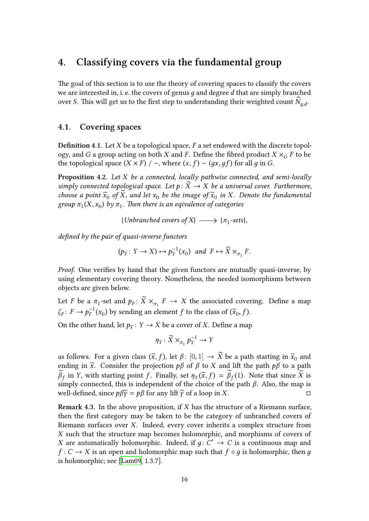# **4. Classifying covers via the fundamental group**

<span id="page-17-0"></span>The goal of this section is to use the theory of covering spaces to classify the covers we are interested in, i. e. the covers of genus *д* and degree *d* that are simply branched over *S*. This will get us to the first step to understanding their weighted count  $N_{g,d}$ .

#### **4.1. Covering spaces**

<span id="page-17-1"></span>**Definition 4.1.** Let *X* be a topological space, *F* a set endowed with the discrete topology, and *G* a group acting on both *X* and *F*. Define the fibred product  $X \times_G F$  to be the topological space  $(X \times F)$  /  $\sim$ , where  $(x, f) \sim (gx, gf)$  for all *g* in *G*.

<span id="page-17-2"></span>**Proposition 4.2.** *Let X be a connected, locally pathwise connected, and semi-locally simply connected topological space. Let*  $p: X \rightarrow X$  *be a universal cover. Furthermore, choose a point*  $\widetilde{x}_0$  *of X*, *and let*  $x_0$  *be the image of*  $\widetilde{x}_0$  *in X. Denote the fundamental*  $g$ roup  $\pi_1(X, x_0)$  by  $\pi_1$ . Then there is an eqivalence of categories

{*Unbranched covers of X*}  $\longrightarrow \{\pi_1\text{-sets}\},\$ 

*defined by the pair of quasi-inverse functors*

$$
(p_Y \colon Y \to X) \mapsto p_Y^{-1}(x_0)
$$
 and  $F \mapsto \widetilde{X} \times_{\pi_1} F$ .

*Proof.* One verifies by hand that the given functors are mutually quasi-inverse, by using elementary covering theory. Nonetheless, the needed isomorphisms between objects are given below.

Let *F* be a  $\pi_1$ -set and  $p_F: X \times_{\pi_1} F \to X$  the associated covering. Define a map  $\zeta_F: F \to p_F^{-1}$  $f_F^{-1}(x_0)$  by sending an element  $f$  to the class of  $(\widetilde{x}_0, f)$ .

On the other hand, let  $p_Y: Y \to X$  be a cover of *X*. Define a map

$$
\eta_Y \colon \widetilde{X} \times_{\pi_1} p_Y^{-1} \to Y
$$

as follows. For a given class  $(\tilde{x}, f)$ , let  $\beta$ :  $[0, 1] \rightarrow X$  be a path starting in  $\tilde{x}_0$  and ending in  $\tilde{x}$ . Consider the projection  $p\beta$  of  $\beta$  to *X* and lift the path  $p\beta$  to a path *β*<sub>f</sub> in *Y*, with starting point *f*. Finally, set *η*<sup>*Y*</sup>( $\tilde{x}$ , *f*) = *β*<sub>f</sub>(1). Note that since *X* is simply connected, this is independent of the choice of the path *β*. Also, the map is well-defined, since *pβγ* = *pβ* for any lift *γ* of a loop in *X*. □

**Remark 4.3.** In the above proposition, if *X* has the structure of a Riemann surface, then the first category may be taken to be the category of unbranched covers of Riemann surfaces over *X*. Indeed, every cover inherits a complex structure from *X* such that the structure map becomes holomorphic, and morphisms of covers of *X* are automatically holomorphic. Indeed, if  $g: C' \rightarrow C$  is a continuous map and *f* : *C* → *X* is an open and holomorphic map such that  $f ∘ q$  is holomorphic, then *q* is holomorphic; see [Lam09, 1.3.7].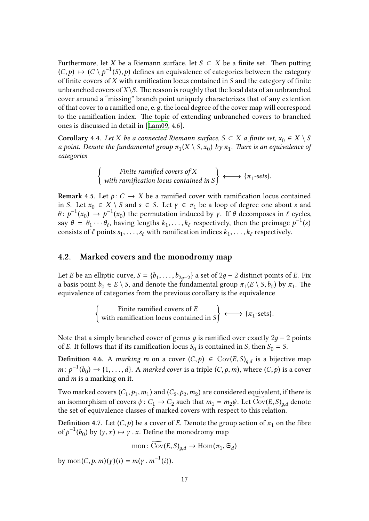Furthermore, let *X* be a Riemann surface, let  $S \subset X$  be a finite set. Then putting  $(C, p)$   $\mapsto$   $(C \setminus p^{-1}(S), p)$  defines an equivalence of categories between the category of finite covers of *X* with ramification locus contained in *S* and the category of finite unbranched covers of  $X \setminus S$ . The reason is roughly that the local data of an unbranched cover around a "missing" branch point uniquely characterizes that of any extention of that cover to a ramified one, e. g. the local degree of the cover map will correspond to the ramification index. The topic of extending unbranched covers to branched ones is discussed in detail in [Lam09, 4.6].

**Corollary 4.4.** *Let*  $X$  *be a connected Riemann surface,*  $S \subset X$  *a finite set,*  $x_0 \in X \setminus S$ *a* point. Denote the fundamental group  $\pi_1(X \setminus S, x_0)$  by  $\pi_1$ . There is an equivalence of *categories*  $\overline{a}$   $\overline{b}$   $\overline{c}$   $\overline{a}$   $\overline{c}$   $\overline{c}$   $\overline{c}$   $\overline{c}$   $\overline{c}$   $\overline{c}$   $\overline{c}$   $\overline{c}$   $\overline{c}$   $\overline{c}$   $\overline{c}$   $\overline{c}$   $\overline{c}$   $\overline{c}$   $\overline{c}$   $\overline{c}$   $\overline{c}$   $\overline{c}$   $\overline{c}$   $\overline{c}$   $\overline{$ 

$$
\left\{\n \begin{array}{c}\n \text{Finite ramified covers of } X \\
 \text{with ramification locus contained in } S\n \end{array}\n \right\}\n \longleftrightarrow \{\pi_1\text{-sets}\}.
$$

<span id="page-18-1"></span>**Remark 4.5.** Let  $p: C \rightarrow X$  be a ramified cover with ramification locus contained in *S*. Let  $x_0 \in X \setminus S$  and  $s \in S$ . Let  $\gamma \in \pi_1$  be a loop of degree one about *s* and  $\theta$ :  $p^{-1}(x_0) \rightarrow p^{-1}(x_0)$  the permutation induced by *γ*. If  $\theta$  decomposes in  $\ell$  cycles, say  $\theta = \theta_1 \cdots \theta_\ell$ , having lengths  $k_1, \ldots, k_\ell$  respectively, then the preimage  $p^{-1}(s)$ consists of  $\ell$  points  $s_1, \ldots, s_\ell$  with ramification indices  $k_1, \ldots, k_\ell$  respectively.

#### **4.2. Marked covers and the monodromy map**

<span id="page-18-0"></span>Let *E* be an elliptic curve,  $S = \{b_1, \ldots, b_{2g-2}\}$  a set of  $2g - 2$  distinct points of *E*. Fix a basis point  $b_0 \in E \setminus S$ , and denote the fundamental group  $\pi_1(E \setminus S, b_0)$  by  $\pi_1$ . The equivalence of categories from the previous corollary is the equivalence  ${11}$   ${11}$   ${11}$   ${11}$   ${11}$   ${11}$ 

> Finite ramified covers of *E* with ramification locus contained in *S*  $\longleftrightarrow \{\pi_1\text{-sets}\}.$

Note that a simply branched cover of genus *д* is ramified over exactly 2*д* − 2 points of *E*. It follows that if its ramification locus  $S_0$  is contained in *S*, then  $S_0 = S$ .

**Definition 4.6.** A *marking m* on a cover  $(C, p) \in Cov(E, S)_{g,d}$  is a bijective map  $m: p^{-1}(b_0) \to \{1, ..., d\}$ . A marked cover is a triple  $(C, p, m)$ , where  $(C, p)$  is a cover<br>and m is a marking on it.<br>Two marked covers  $(C_1, p_1, m_1)$  and  $(C_2, p_2, m_2)$  are considered equivalent, if there is<br>an isomorphism of c and *m* is a marking on it.

Two marked covers  $(C_1, p_1, m_1)$  and  $(C_2, p_2, m_2)$  are considered equivalent, if there is an isomorphism of covers  $\psi$  :  $C_1 \rightarrow C_2$  such that  $m_1 = m_2 \psi$ . Let  $Cov(E, S)_{a,d}$  denote the set of equivalence classes of marked covers with respect to this relation.

**Definition** 4.7. Let  $(C, p)$  be a cover of *E*. Denote the group action of  $\pi_1$  on the fibre of  $p^{-1}(b_0)$  by  $(\gamma, x) \mapsto \gamma'$ . *x*. Define the monodromy map asses of marked covers with re<br>) be a cover of *E*. Denote the g<br>*x*. Define the monodromy manner:  $\widetilde{\mathrm{Cov}}(E,S)_{g,d} \to \mathrm{Hom}(\pi_1)$ 

$$
\text{mon} \colon \widetilde{\text{Cov}}(E, S)_{g,d} \to \text{Hom}(\pi_1, \mathfrak{S}_d)
$$

by mon $(C, p, m)(\gamma)(i) = m(\gamma \cdot m^{-1}(i)).$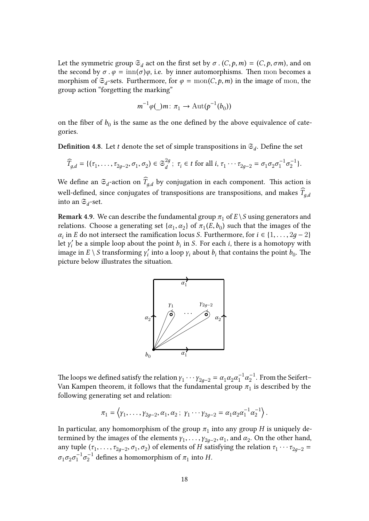Let the symmetric group  $\mathfrak{S}_d$  act on the first set by  $\sigma$  .  $(C, p, m) = (C, p, \sigma m)$ , and on the second by  $\sigma \cdot \varphi = \text{inn}(\sigma)\varphi$ , i.e. by inner automorphisms. Then mon becomes a morphism of  $\mathfrak{S}_d$ -sets. Furthermore, for  $\varphi = \text{mon}(C, p, m)$  in the image of mon, the group action "forgetting the marking"

$$
m^{-1}\varphi(\_)m\colon\pi_1\to\operatorname{Aut}(p^{-1}(b_0))
$$

on the fiber of  $b_0$  is the same as the one defined by the above equivalence of categories.

**Definition 4.8.** Let *t* denote the set of simple transpositions in  $\mathfrak{S}_d$ . Define the set

$$
\widehat{T}_{g,d} = \{(\tau_1, \ldots, \tau_{2g-2}, \sigma_1, \sigma_2) \in \mathfrak{S}_d^{2g} ; \ \tau_i \in t \text{ for all } i, \tau_1 \cdots \tau_{2g-2} = \sigma_1 \sigma_2 \sigma_1^{-1} \sigma_2^{-1} \}.
$$

We define an  $\mathfrak{S}_d$ -action on  $T_{g,d}$  by conjugation in each component. This action is well-defined, since conjugates of transpositions are transpositions, and makes  $\widehat{T}_{q,d}$ into an  $\mathfrak{S}_d$ -set.

**Remark 4.9.** We can describe the fundamental group  $\pi_1$  of  $E \setminus S$  using generators and relations. Choose a generating set  $\{\alpha_1, \alpha_2\}$  of  $\pi_1(E, b_0)$  such that the images of the  $\alpha_i$  in *E* do not intersect the ramification locus *S*. Furthermore, for *i* ∈ {1, ..., 2*g* − 2} let  $\gamma'_i$  be a simple loop about the point  $b_i$  in *S*. For each *i*, there is a homotopy with image in  $E \setminus S$  transforming  $\gamma_i'$  $\nu'_i$  into a loop  $γ_i$  about  $b_i$  that contains the point  $b_0$ . The picture below illustrates the situation.



The loops we defined satisfy the relation  $\gamma_1 \cdots \gamma_{2g-2} = \alpha_1 \alpha_2 \alpha_1^{-1} \alpha_2^{-1}$  $\sqrt{2}^{-1}$ . From the Seifert– Van Kampen theorem, it follows that the fundamental group  $\pi_1$  is described by the following generating set and relation:  $\frac{1}{2}$  ( $\frac{1}{2}$   $\frac{1}{2}$   $\frac{1}{2}$   $\frac{1}{2}$   $\frac{1}{2}$   $\frac{1}{2}$   $\frac{1}{2}$   $\frac{1}{2}$   $\frac{1}{2}$   $\frac{1}{2}$   $\frac{1}{2}$   $\frac{1}{2}$   $\frac{1}{2}$   $\frac{1}{2}$   $\frac{1}{2}$   $\frac{1}{2}$   $\frac{1}{2}$   $\frac{1}{2}$   $\frac{1}{2}$   $\frac{1}{2}$   $\frac{1}{2}$ 

$$
\pi_1 = \left\langle \gamma_1, \ldots, \gamma_{2g-2}, \alpha_1, \alpha_2 \, ; \, \gamma_1 \cdots \gamma_{2g-2} = \alpha_1 \alpha_2 \alpha_1^{-1} \alpha_2^{-1} \right\rangle.
$$

In particular, any homomorphism of the group  $\pi_1$  into any group  $H$  is uniquely determined by the images of the elements  $\gamma_1, \ldots, \gamma_{2g-2}, \alpha_1$ , and  $\alpha_2$ . On the other hand, any tuple  $(\tau_1, \ldots, \tau_{2g-2}, \sigma_1, \sigma_2)$  of elements of *H* satisfying the relation  $\tau_1 \cdots \tau_{2g-2} =$  $\sigma_1 \sigma_2 \sigma_1^{-1} \sigma_2^{-1}$  defines a homomorphism of  $\pi_1$  into *H*.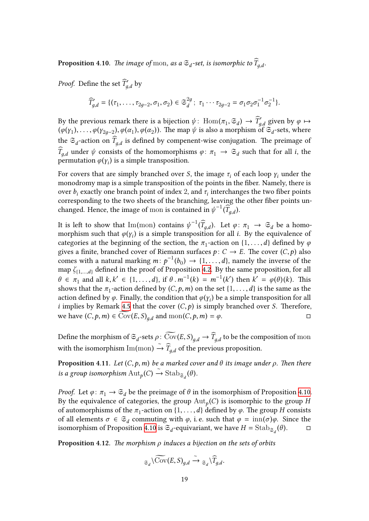**Proposition** 4.10. *The image of* mon, *as a*  $\mathfrak{S}_d$ -set, *is isomorphic to*  $\overline{T}_{g,d}.$ 

<span id="page-20-0"></span>*Proof.* Define the set  $\widehat{T}_{g,d}^{\prime}$  by

$$
\widehat{T}'_{g,d} = \{(\tau_1,\ldots,\tau_{2g-2},\sigma_1,\sigma_2) \in \mathfrak{S}_d^{2g} ; \ \tau_1 \cdots \tau_{2g-2} = \sigma_1 \sigma_2 \sigma_1^{-1} \sigma_2^{-1} \}.
$$

By the previous remark there is a bijection  $\psi$ :  $\text{Hom}(\pi_1, \mathfrak{S}_d) \to \widehat{T}_{g,d}$  given by  $\varphi \mapsto$  $(\varphi(\gamma_1),\ldots,\varphi(\gamma_{2g-2}),\varphi(\alpha_1),\varphi(\alpha_2))$ . The map  $\psi$  is also a morphism of  $\mathfrak{S}_d$ -sets, where the  $\mathfrak{S}_d$ -action on  $T_{g,d}$  is defined by compenent-wise conjugation. The preimage of *T*<sub>*g*,*d*</sub> under  $\psi$  consists of the homomorphisms  $\varphi: \pi_1 \to \mathfrak{S}_d$  such that for all *i*, the permutation  $\varphi(\gamma_i)$  is a simple transposition.

For covers that are simply branched over *S*, the image  $\tau_i$  of each loop  $\gamma_i$  under the monodromy map is a simple transposition of the points in the fiber. Namely, there is over  $b_i$  exactly one branch point of index 2, and  $\tau_i$  interchanges the two fiber points corresponding to the two sheets of the branching, leaving the other fiber points unchanged. Hence, the image of mon is contained in  $\psi^{-1}(\widehat{T}_{g,d})$ .

It is left to show that  ${\rm Im(mon)}$  contains  $\psi^{-1}(\widehat{T}_{g,d}).$  Let  $\varphi\colon \pi_1\;\to\; \mathfrak{S}_d$  be a homomorphism such that  $\varphi(\gamma_i)$  is a simple transposition for all *i*. By the equivalence of categories at the beginning of the section, the  $\pi_1$ -action on  $\{1, \ldots, d\}$  defined by  $\varphi$ gives a finite, branched cover of Riemann surfaces  $p: C \rightarrow E$ . The cover  $(C, p)$  also comes with a natural marking  $m: p^{-1}(b_0) \rightarrow \{1, \ldots, d\}$ , namely the inverse of the map *ζ*{1,...,*d*} defined in the proof of Proposition 4.2. By the same proposition, for all *θ* ∈  $\pi_1$  and all *k*, *k*<sup>'</sup> ∈ {1, . . . , *d*}, if *θ* .  $m^{-1}(k) = m^{-1}(k')$  then  $k' = \varphi(\theta)(k)$ . This shows that the  $\pi_1$ -action defined by  $(C, p, m)$  on the set  $\{1, \ldots, d\}$  is the same as the action defined by  $\varphi$ . Finally, the condition that  $\varphi(\gamma_i)$  be a simple transposition for all *i* implies by Remark 4.5 that the cover (*C*,*p*) is simply branched over *S*. Therefore,  $\theta \in \pi_1$  and all  $k, k' \in \{1, ..., k\}$ <br>shows that the  $\pi_1$ -action define<br>action defined by  $\varphi$ . Finally, the<br>*i* implies by Remark 4.5 that th<br>we have  $(C, p, m) \in \text{Cov}(E, S)_{g,d}$ we have  $(C, p, m) \in \text{Cov}(E, S)_{a,d}$  and  $\text{mon}(C, p, m) = \varphi$ . *i* implies by Remark 4.5 that the cover  $(C, p)$  is simply branched over *S*. Therefore, we have  $(C, p, m) \in \text{Cov}(E, S)_{g,d}$  and  $\text{mon}(C, p, m) = \varphi$ .

with the isomorphism Im(mon)  $\stackrel{\sim}{\to} \widehat{T}_{g,d}$  of the previous proposition.

**Proposition 4.11.** *Let* (*C*,*p*,*m*) *be a marked cover and θ its image under ρ. Then there*  $\iint$  *is a group isomorphism*  $\text{Aut}_p(C) \xrightarrow{\sim} \text{Stab}_{\mathfrak{S}_d}(\theta)$ *.* 

*Proof.* Let  $\varphi: \pi_1 \to \mathfrak{S}_d$  be the preimage of  $\theta$  in the isomorphism of Proposition 4.10. By the equivalence of categories, the group Aut*<sup>p</sup>* (*C*) is isomorphic to the group *H* of automorphisms of the  $\pi_1$ -action on  $\{1, \ldots, d\}$  defined by  $\varphi$ . The group *H* consists of all elements  $\sigma \in \mathfrak{S}_d$  commuting with  $\varphi$ , i.e. such that  $\varphi = \text{inn}(\sigma)\varphi$ . Sinc[e the](#page-20-0) isomorphism of Proposition 4.10 is  $\mathfrak{S}_d$  $\mathfrak{S}_d$ -equivariant, we have  $H = \text{Stab}_{\mathfrak{S}_d}(\theta)$ . □<br> **Proposition 4.12**. The morphism  $\rho$  induces a bijection on the sets of orbits<br>  $\mathfrak{S}_d \setminus \text{Cov}(E, S)_{g,d} \xrightarrow{\sim} \mathfrak{S}_d \setminus \widehat$ 

**Proposition 4.12.** *The morphism ρ induces a bijection on the sets of orbits*

$$
{}_{\mathfrak{S}_d}\backslash \widetilde{\mathrm{Cov}}(E,S)_{g,d}\xrightarrow{\sim}{}_{\mathfrak{S}_d}\backslash \widehat{T}_{g,d}.
$$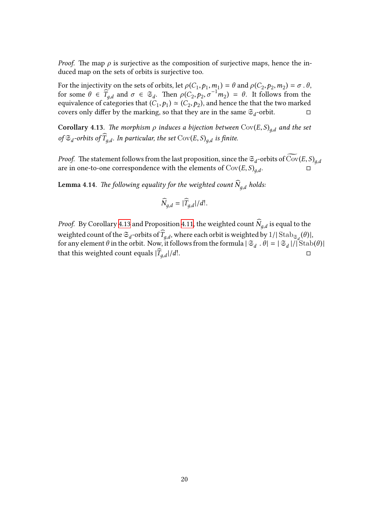*Proof.* The map  $\rho$  is surjective as the composition of surjective maps, hence the induced map on the sets of orbits is surjective too.

For the injectivity on the sets of orbits, let  $\rho(C_1, p_1, m_1) = \theta$  and  $\rho(C_2, p_2, m_2) = \sigma$ .  $\theta$ , for some  $\theta \in \widetilde{T}_{g,d}$  and  $\sigma \in \mathfrak{S}_d$ . Then  $\rho(C_2, p_2, \sigma^{-1}m_2) = \theta$ . It follows from the equivalence of categories that  $(C_1, p_1) \simeq (C_2, p_2)$ , and hence the that the two marked covers only differ by the marking, so that they are in the same  $\mathfrak{S}_d$ -orbit.  $\Box$ 

**Corollary 4.13.** *The morphism*  $\rho$  *induces a bijection between*  $Cov(E, S)_{q,d}$  *and the set*  $of \mathfrak{S}_d$ -orbits of  $T_{g,d}$ . In particular, the set  $Cov(E, S)_{g,d}$  is finite. **Corollary 4.13.** The morphism  $\rho$  induces a bijection between  $Cov(E, S)_{g,d}$  and the set of  $\mathfrak{S}_d$ -orbits of  $\widehat{T}_{g,d}$ . In particular, the set  $Cov(E, S)_{g,d}$  is finite.<br>*Proof.* The statement follows from the last prop

<span id="page-21-0"></span>are in one-to-one correspondence with the elements of  $Cov(E, S)_{a,d}$ . . □

**Lemma 4.14.** *The following equality for the weighted count*  $\widehat{N}_{g,d}$  *holds:* 

$$
\widehat{N}_{g,d} = |\widehat{T}_{g,d}|/d!.
$$

<span id="page-21-1"></span>*Proof.* By Corollary 4.13 and Proposition 4.11, the weighted count  $N_{g,d}$  is equal to the weighted count of the  $\mathfrak{S}_d$ -orbits of  $T_{g,d}$ , where each orbit is weighted by  $1/|\operatorname{Stab}_{\mathfrak{S}_d}(\theta)|,$ for any element  $\theta$  in the orbit. Now, it follows from the formula  $|\mathfrak{S}_d|$ .  $\theta| = |\mathfrak{S}_d|/|\mathfrak{S}\text{tab}(\theta)|$ thatthis weighted c[ount](#page-21-0) equals  $|\widehat{T}_{g,d}|/d!$ . |/*d*!. □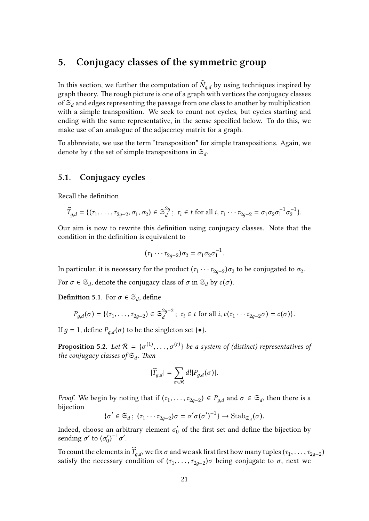# <span id="page-22-0"></span>**5. Conjugacy classes of the symmetric group**

In this section, we further the computation of  $\widehat{N}_{a,d}$  by using techniques inspired by graph theory. The rough picture is one of a graph with vertices the conjugacy classes of  $\mathfrak{S}_d$  and edges representing the passage from one class to another by multiplication with a simple transposition. We seek to count not cycles, but cycles starting and ending with the same representative, in the sense specified below. To do this, we make use of an analogue of the adjacency matrix for a graph.

To abbreviate, we use the term "transposition" for simple transpositions. Again, we denote by *t* the set of simple transpositions in  $\mathfrak{S}_d$ .

#### <span id="page-22-1"></span>**5.1. Conjugacy cycles**

Recall the definition

$$
\widehat{T}_{g,d} = \{(\tau_1, \ldots, \tau_{2g-2}, \sigma_1, \sigma_2) \in \mathfrak{S}_d^{2g} \, ; \, \tau_i \in t \text{ for all } i, \tau_1 \cdots \tau_{2g-2} = \sigma_1 \sigma_2 \sigma_1^{-1} \sigma_2^{-1} \}.
$$

Our aim is now to rewrite this definition using conjugacy classes. Note that the condition in the definition is equivalent to

$$
(\tau_1 \cdots \tau_{2g-2}) \sigma_2 = \sigma_1 \sigma_2 \sigma_1^{-1}.
$$

In particular, it is necessary for the product  $(\tau_1 \cdots \tau_{2g-2}) \sigma_2$  to be conjugated to  $\sigma_2$ .

For  $\sigma \in \mathfrak{S}_d$ , denote the conjugacy class of  $\sigma$  in  $\mathfrak{S}_d$  by  $c(\sigma)$ .

**Definition 5.1.** For  $\sigma \in \mathfrak{S}_d$ , define

$$
P_{g,d}(\sigma)=\{(\tau_1,\ldots,\tau_{2g-2})\in\mathfrak{S}_d^{2g-2}\,;\,\,\tau_i\in t\,\,\text{for all}\,\,i,\,c(\tau_1\cdots\tau_{2g-2}\sigma)=c(\sigma)\}.
$$

If *g* = 1, define  $P_{g,d}(\sigma)$  to be the singleton set { $\bullet$ }.

**Proposition** 5.2. Let  $\mathcal{R} = \{\sigma^{(1)}, \ldots, \sigma^{(r)}\}$  be a system of (distinct) representatives of *the conjugacy classes of* S*<sup>d</sup> . Then*

$$
|\widehat{T}_{g,d}| = \sum_{\sigma \in \mathcal{R}} d! |P_{g,d}(\sigma)|.
$$

*Proof.* We begin by noting that if  $(\tau_1, \ldots, \tau_{2g-2}) \in P_{g,d}$  and  $\sigma \in \mathfrak{S}_d$ , then there is a bijection

$$
\{\sigma' \in \mathfrak{S}_d\,;\; (\tau_1\cdots\tau_{2g-2})\sigma = \sigma'\sigma(\sigma')^{-1}\}\to {\rm Stab}_{\mathfrak{S}_d}(\sigma).
$$

Indeed, choose an arbitrary element  $\sigma_0'$  of the first set and define the bijection by sending *σ'* to (*σ'*<sub>0</sub>  $\zeta_0')^{-1}\sigma'.$ 

To count the elements in  $T_{g,d}$ , we fix  $\sigma$  and we ask first first how many tuples  $(\tau_1,\ldots,\tau_{2g-2})$ satisfy the necessary condition of  $(\tau_1, \ldots, \tau_{2g-2})\sigma$  being conjugate to  $\sigma$ , next we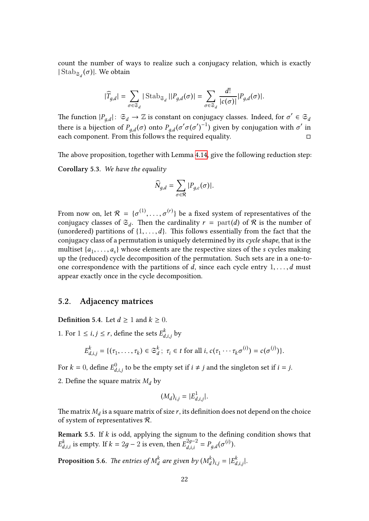count the number of ways to realize such a conjugacy relation, which is exactly | Stab<sub> $\mathfrak{s}_d$ </sub> $(σ)$ |. We obtain

$$
|\widehat{T}_{g,d}| = \sum_{\sigma \in \mathfrak{S}_d} |\operatorname{Stab}_{\mathfrak{S}_d}||P_{g,d}(\sigma)| = \sum_{\sigma \in \mathfrak{S}_d} \frac{d!}{|c(\sigma)|} |P_{g,d}(\sigma)|.
$$

The function  $|P_{g,d}|: \mathfrak{S}_d \to \mathbb{Z}$  is constant on conjugacy classes. Indeed, for  $\sigma' \in \mathfrak{S}_d$ there is a bijection of  $P_{g,d}(\sigma)$  onto  $P_{g,d}(\sigma'\sigma{(\sigma')}^{-1})$  given by conjugation with  $\sigma'$  in each component. From this follows the required equality.  $\Box$ 

The above proposition, together with Lemma 4.14, give the following reduction step:

**Corollary 5.3.** *We have the equality*

$$
\widehat{N}_{g,d} = \sum_{\sigma \in \mathcal{R}} |P_{g,c}(\sigma)|.
$$

<span id="page-23-1"></span>From now on, let  $\mathcal{R} \ = \ \{\sigma^{(1)}, \ldots, \sigma^{(r)}\}$  be a fixed system of representatives of the conjugacy classes of  $\mathfrak{S}_d$ . Then the cardinality  $r = \text{part}(d)$  of  $\mathcal R$  is the number of (unordered) partitions of  $\{1, \ldots, d\}$ . This follows essentially from the fact that the conjugacy class of a permutation is uniquely determined by its *cycle shape*, that is the multiset  $\{a_1, \ldots, a_s\}$  whose elements are the respective sizes of the *s* cycles making up the (reduced) cycle decomposition of the permutation. Such sets are in a one-toone correspondence with the partitions of *d*, since each cycle entry  $1, \ldots, d$  must appear exactly once in the cycle decomposition.

#### **5.2. Adjacency matrices**

<span id="page-23-0"></span>**Definition 5.4.** Let  $d \ge 1$  and  $k \ge 0$ .

1. For  $1 \le i, j \le r$ , define the sets  $E_d^k$  $\int_{d,i,j}^{\kappa}$  by

$$
E_{d,i,j}^k = \{(\tau_1,\ldots,\tau_k) \in \mathfrak{S}_d^k; \ \tau_i \in t \text{ for all } i, c(\tau_1 \cdots \tau_k \sigma^{(i)}) = c(\sigma^{(j)})\}.
$$

For  $k=0$ , define  $E_d^0$  $\frac{d}{d}$ ,*i*,*j* to be the empty set if *i*  $\neq$  *j* and the singleton set if *i* = *j*.

2. Define the square matrix  $M_d$  by

$$
(M_d)_{i,j} = |E^1_{d,i,j}|.
$$

The matrix  $M_d$  is a square matrix of size  $r$ , its definition does not depend on the choice of system of representatives R.

**Remark 5.5.** If *k* is odd, applying the signum to the defining condition shows that  $E_d^k$ *d*,*i*,*i* is empty. If  $k = 2g - 2$  is even, then  $E_{d,i,i}^{2g-2}$  $P_{g,d}^{2g-2} = P_{g,d}(\sigma^{(i)}).$ 

**Proposition 5.6.** *The entries of M k*  $\frac{d}{d}$  are given by ( $M_d^k$  $\binom{k}{d}_{i,j} = |E_d^k|$ *d*,*i*,*j* |*.*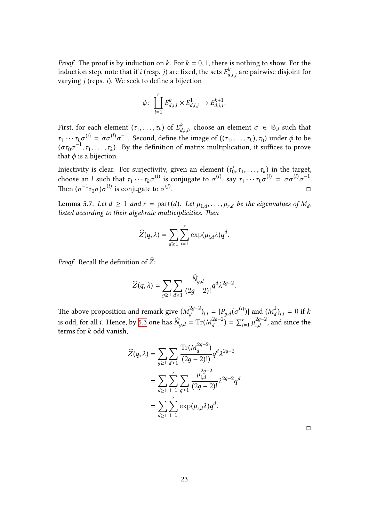*Proof.* The proof is by induction on  $k$ . For  $k = 0, 1$ , there is nothing to show. For the induction step, note that if  $i$  (resp.  $j$ ) are fixed, the sets  $E_d^k$  $d_{d,i,j}^\kappa$  are pairwise disjoint for varying *j* (reps. *i*). We seek to define a bijection

$$
\phi \colon \coprod_{l=1}^r E_{d,i,l}^k \times E_{d,l,j}^1 \to E_{d,i,j}^{k+1}.
$$

First, for each element  $(\tau_1, \ldots, \tau_k)$  of  $E_d^k$  $\sigma$ <sup>*k*</sup><sub>*d*</sub>,*i*, choose an element *σ* ∈  $\mathfrak{S}_d$  such that *τ*<sub>1</sub> · · · *τ*<sub>*k*</sub> $\sigma^{(i)} = \sigma \sigma^{(i)} \sigma^{-1}$ . Second, define the image of  $((\tau_1, \ldots, \tau_k), \tau_0)$  under  $\phi$  to be  $(\sigma \tau_0 \sigma^{-1}, \tau_1, \ldots, \tau_k)$ . By the definition of matrix multiplication, it suffices to prove that  $\phi$  is a bijection.

Injectivity is clear. For surjectivity, given an element ( $\tau_0'$  $(\tau_0, \tau_1, \ldots, \tau_k)$  in the target, choose an *l* such that  $\tau_1 \cdots \tau_k \sigma^{(i)}$  is conjugate to  $\sigma^{(i)}$ , say  $\tau_1 \cdots \tau_k \sigma^{(i)} = \sigma \sigma^{(i)} \sigma^{-1}$ . Then  $(σ^{-1}τ_0σ)σ^{(l)}$  is conjugate to  $σ^{(j)}$ . □ ∑

<span id="page-24-0"></span>**Lemma 5.7.** Let  $d \geq 1$  and  $r = \text{part}(d)$ . Let  $\mu_{1,d}, \ldots, \mu_{r,d}$  be the eigenvalues of  $M_d$ , *listed according to their algebraic multiciplicities. Then*

$$
\widehat{Z}(q,\lambda)=\sum_{d\geq 1}\sum_{i=1}^r\exp(\mu_{i,d}\lambda)q^d.
$$

*Proof.* Recall the definition of  $\widehat{Z}$ :

$$
\widehat{Z}(q,\lambda)=\sum_{g\geq 1}\sum_{d\geq 1}\frac{N_{g,d}}{(2g-2)!}q^d\lambda^{2g-2}.
$$

 $\sim$ 

The above proposition and remark give  $(M_d^{2g-2})$  $\binom{2g-2}{d}$ <sub>*i*,*i*</sub> =  $|P_{g,d}(\sigma^{(i)})|$  and  $\binom{M_d^k}{d}$ *d*  $(M_d^{2g-2})_{i,i} = |P_{g,d}(\sigma^{(i)})|$  and  $(M_d^k)_{i,i} = 0$  if *k* is odd, for all *i*. Hence, by 5.3 one has  $\widehat{N}_{g,d} = \text{Tr}(M_d^{2g-2})$  $\left(\frac{2g-2}{d}\right) = \sum_{i=1}^r \mu_{i,d}^{2g-2}$  $\int_{i,d}^{2g-2}$ , and since the terms for *k* odd vanish,

$$
\widehat{Z}(q,\lambda) = \sum_{g \ge 1} \sum_{d \ge 1} \frac{\text{Tr}(M_d^{2g-2})}{(2g-2)!)} q^d \lambda^{2g-2}
$$

$$
= \sum_{d \ge 1} \sum_{i=1}^r \sum_{g \ge 1} \frac{\mu_{i,d}^{2g-2}}{(2g-2)!} \lambda^{2g-2} q^d
$$

$$
= \sum_{d \ge 1} \sum_{i=1}^r \exp(\mu_{i,d}\lambda) q^d.
$$

□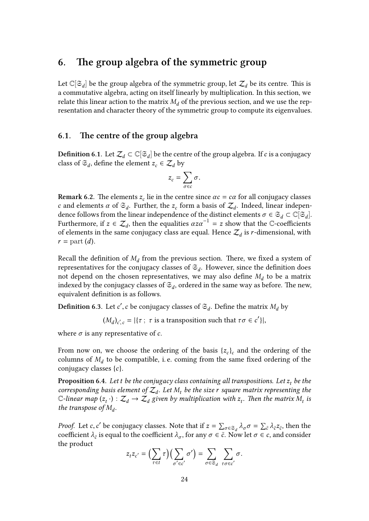# <span id="page-25-0"></span>**6. The group algebra of the symmetric group**

Let  $\mathbb{C}[\mathfrak{S}_d]$  be the group algebra of the symmetric group, let  $\mathcal{Z}_d$  be its centre. This is a commutative algebra, acting on itself linearly by multiplication. In this section, we relate this linear action to the matrix  $M_d$  of the previous section, and we use the representation and character theory of the symmetric group to compute its eigenvalues.

### <span id="page-25-1"></span>**6.1. The centre of the group algebra** ∑

 $\bf{Definition 6.1.}$  Let  $\mathcal{Z}_d \subset \mathbb{C}[\mathfrak{S}_d]$  be the centre of the group algebra. If  $c$  is a conjugacy class of  $\mathfrak{S}_d$ , define the element  $z_c \in \mathcal{Z}_d$  by

$$
z_c = \sum_{\sigma \in c} \sigma.
$$

**Remark 6.2.** The elements  $z_c$  lie in the centre since  $\alpha c = c\alpha$  for all conjugacy classes *c* and elements *α* of  $\mathfrak{S}_d$ . Further, the *z<sub>c</sub>* form a basis of  $\mathcal{Z}_d$ . Indeed, linear independence follows from the linear independence of the distinct elements  $\sigma \in \mathfrak{S}_d \subset \mathbb{C}[\mathfrak{S}_d].$ Furthermore, if  $z \in \mathcal{Z}_d$ , then the equalities  $\alpha z \alpha^{-1} = z$  show that the C-coefficients of elements in the same conjugacy class are equal. Hence  $\mathcal{Z}_d$  is *r*-dimensional, with  $r =$  part  $(d)$ .

Recall the definition of  $M_d$  from the previous section. There, we fixed a system of representatives for the conjugacy classes of  $\mathfrak{S}_d$ . However, since the definition does not depend on the chosen representatives, we may also define  $M_d$  to be a matrix indexed by the conjugacy classes of  $\mathfrak{S}_d$  ordered in the same way as before. The new, equivalent definition is as follows.

**Definition 6.3.** Let  $c'$ ,  $c$  be conjugacy classes of  $\mathfrak{S}_d$ . Define the matrix  $M_d$  by

 $(M_d)_{c',c} = |\{\tau \; ; \; \tau \text{ is a transposition such that } \tau \sigma \in c' \}|,$ 

where  $\sigma$  is any representative of  $c$ .

From now on, we choose the ordering of the basis  $\{z_c\}_c$  and the ordering of the columns of  $M_d$  to be compatible, i.e. coming from the same fixed ordering of the conjugacy classes {*c*}.

**Proposition 6.4.** Let *t* be the conjugacy class containing all transpositions. Let  $z_t$  be the  $\alpha$  *corresponding basis element of*  $\mathcal{Z}_d$ *. Let*  $M_t$  *be the size r square matrix representing the*  $\mathbb{C}\text{-}$ linear map  $(z_t\cdot):\mathcal{Z}_d\to\mathcal{Z}_d$  given by multiplication with  $z_t$ . Then the matrix  $M_t$  is *the transpose of M<sup>d</sup> .*

*Proof.* Let *c*, *c*<sup>'</sup> be conjugacy classes. Note that if  $z = \sum_{\sigma \in \mathfrak{S}_d} \lambda_{\sigma} \sigma = \sum_{\tilde{c}} \lambda_{\tilde{c}} z_{\tilde{c}}$ , then the coefficient  $\lambda_{\tilde{c}}$  is equal to the coefficient  $\lambda_{\sigma}$ , for any  $\sigma \in \tilde{c}$ . Now let  $\sigma \in c$ , and consider the product

$$
z_t z_{c'} = \Big(\sum_{\tau \in t} \tau\Big) \Big(\sum_{\sigma' \in c'} \sigma'\Big) = \sum_{\sigma \in \mathfrak{S}_d} \sum_{\tau \sigma \in c'} \sigma.
$$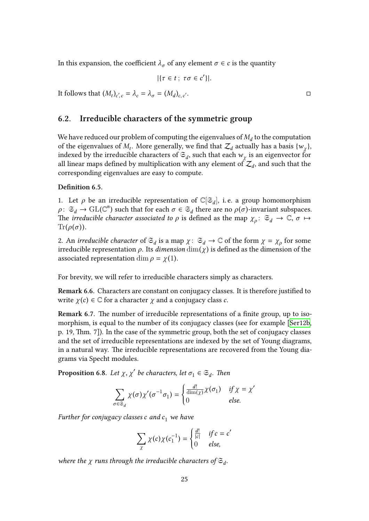In this expansion, the coefficient  $\lambda_{\sigma}$  of any element  $\sigma \in c$  is the quantity

$$
|\{\tau \in t\,;\ \tau\sigma \in c'\}|.
$$

It follows that  $(M_t)_{c',c} = \lambda_c = \lambda_\sigma = (M_d)_{c,c}$ 

#### **6.2. Irreducible characters of the symmetric group**

<span id="page-26-0"></span>We have reduced our problem of computing the eigenvalues of  $M_d$  to the computation of the eigenvalues of  $M_t$ . More generally, we find that  $\mathcal{Z}_d$  actually has a basis  $\{w_\chi\}$ , indexed by the irreducible characters of  $\mathfrak{S}_d$ , such that each  $w_\chi$  is an eigenvector for all linear maps defined by multiplication with any element of  $\mathcal{Z}_d$ , and such that the corresponding eigenvalues are easy to compute.

#### **Definition 6.5.**

1. Let  $\rho$  be an irreducible representation of  $\mathbb{C}[\mathfrak{S}_d]$ , i.e. a group homomorphism  $\rho: \mathfrak{S}_d \to \mathrm{GL}(\mathbb{C}^n)$  such that for each  $\sigma \in \mathfrak{S}_d$  there are no  $\rho(\sigma)$ -invariant subspaces. The *irreducible character associated to*  $\rho$  is defined as the map  $\chi_\rho: \mathfrak{S}_d \to \mathbb{C}, \sigma \mapsto \mathfrak{S}_d$  $\text{Tr}(\rho(\sigma)).$ 

2. An *irreducible character* of  $\mathfrak{S}_d$  is a map  $\chi: \mathfrak{S}_d \to \mathbb{C}$  of the form  $\chi = \chi_\rho$  for some irreducible representation  $\rho$ . Its *dimension*  $\dim(\chi)$  is defined as the dimension of the associated representation dim  $\rho = \chi(1)$ .

For brevity, we will refer to irreducible characters simply as characters.

**Remark 6.6.** Characters are constant on conjugacy classes. It is therefore justified to write  $\chi(c) \in \mathbb{C}$  for a character  $\chi$  and a conjugacy class  $c$ .

**Remark 6.7.** The number of irreducible representations of a finite group, up to isomorphism, is equal to the number of its conjugacy classes (see for example [Ser12b, p. 19, Thm. 7]). In the case of the symmetric group, both the set of conjugacy classes and the set of irreducible representations are indexed by the set of Young diagrams, in a natural way. The irreducible representations are recovered from the Yo[ung dia-](#page-42-5)∑grams via Specht modules.

**Proposition 6.8.** *Let*  $\chi$ ,  $\chi'$  *be characters, let*  $\sigma_1 \in \mathfrak{S}_d$ *. Then* 

$$
\sum_{\sigma \in \mathfrak{S}_d} \chi(\sigma) \chi'(\sigma^{-1} \sigma_1) = \begin{cases} \frac{d!}{\dim(\chi)} \chi(\sigma_1) & \text{if } \chi = \chi' \\ 0 & \text{else.} \end{cases}
$$

<span id="page-26-1"></span>*Further for conjugacy classes c and c*<sup>1</sup> *we have*

$$
\sum_{\chi} \chi(c) \chi(c_1^{-1}) = \begin{cases} \frac{d!}{|c|} & \text{if } c = c'\\ 0 & \text{else,} \end{cases}
$$

where the  $\chi$  runs through the irreducible characters of  $\mathfrak{S}_d$ .

′. □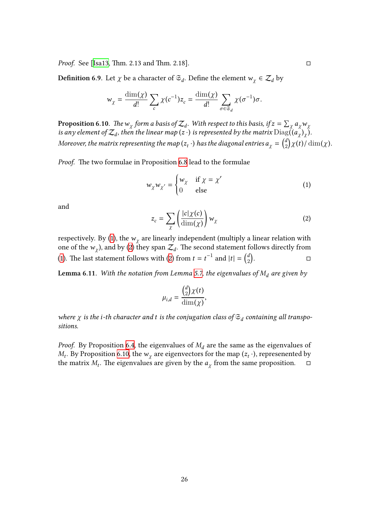**Definition 6.9.** Let  $\chi$  be a character of  $\mathfrak{S}_d$ . Define the element  $w_{\chi} \in \mathcal{Z}_d$  by

$$
w_{\chi} = \frac{\dim(\chi)}{d!} \sum_{c} \chi(c^{-1}) z_{c} = \frac{\dim(\chi)}{d!} \sum_{\sigma \in \mathfrak{S}_{d}} \chi(\sigma^{-1}) \sigma.
$$

**Proposition 6.10.** *The*  $w_\chi$  *form a basis of*  $\mathcal{Z}_d$ *. With respect to this basis, if*  $z = \sum_\chi a_\chi w_\chi$ *is any element of*  $\mathcal{Z}_d$ *, then the linear map (* $z$  *·) is represented by the matrix*  $\text{Diag}((a_{\chi})_{\chi}).$ Moreover, the matrix representing the map ( $z_t$  ·) has the diagonal entries  $a_{\chi} = \left( \frac{d}{2} \right)$ 2  $\chi(t)/\dim(\chi)$ *.* 

*Proof.* The two formulae in Proposition 6.8 lead to the formulae

$$
w_{\chi} w_{\chi'} = \begin{cases} w_{\chi} & \text{if } \chi = \chi' \\ 0 & \text{else} \end{cases}
$$
 (1)

and

<span id="page-27-1"></span><span id="page-27-0"></span>
$$
z_c = \sum_{\chi} \left( \frac{|c|\chi(c)}{\dim(\chi)} \right) w_{\chi} \tag{2}
$$

respectively. By (1), the  $w_{\chi}$  are linearly independent (multiply a linear relation with one of the  $w_\chi$ ), and by (2) they span  $\mathcal{Z}_d$ . The second statement follows directly from (1). The last statement follows with (2) from  $t = t^{-1}$  and  $|t| = \binom{d}{2}$ 2 . □

**Lemma 6.11.** *Wi[th](#page-27-0) the [no](#page-27-1)tation from Lemma 5.7, the eigenvalues of M<sup>d</sup> are given by*

$$
\mu_{i,d} = \frac{{d \choose 2} \chi(t)}{\dim(\chi)},
$$

<span id="page-27-2"></span>where  $\chi$  is the *i*-th character and t is the conjugation class of  $\mathfrak{S}_d$  containing all transpo*sitions.*

*Proof.* By Proposition 6.4, the eigenvalues of  $M_d$  are the same as the eigenvalues of  $M_t$ . By Proposition 6.10, the  $w_\chi$  are eigenvectors for the map ( $z_t$   $\cdot$ ), represenented by the matrix  $M_t$ . The eigenvalues are given by the  $a_\chi$  from the same proposition.  $\Box$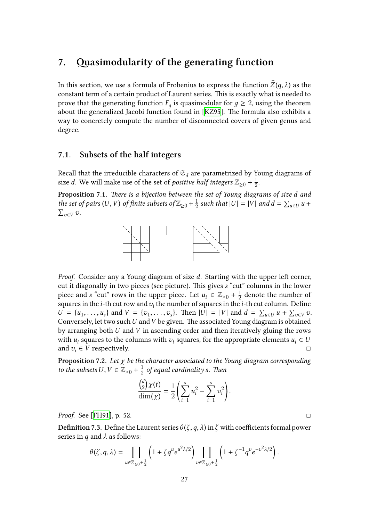# **7. Quasimodularity of the generating function**

<span id="page-28-0"></span>In this section, we use a formula of Frobenius to express the function  $\widehat{Z}(q, \lambda)$  as the constant term of a certain product of Laurent series. This is exactly what is needed to prove that the generating function  $F_g$  is quasimodular for  $g \geq 2$ , using the theorem about the generalized Jacobi function found in [KZ95]. The formula also exhibits a way to concretely compute the number of disconnected covers of given genus and degree.

#### **7.1. Subsets of the half integers**

<span id="page-28-1"></span>Recall that the irreducible characters of  $\mathfrak{S}_d$  are parametrized by Young diagrams of size *d*. We will make use of the set of *positive half integers*  $\mathbb{Z}_{\geq 0} + \frac{1}{2}$  $rac{1}{2}$ .

**Proposition 7.1.** *There is a bijection between the set of Young diagrams of size d and the set of pairs*  $(U,V)$  *of finite subsets of*  $\mathbb{Z}_{\geq 0} + \frac{1}{2}$  $\frac{1}{2}$  such that  $|U| = |V|$  and  $d = \sum_{u \in U} u +$ *<sup>v</sup>*∈*<sup>V</sup> v.*



*Proof.* Consider any a Young diagram of size *d*. Starting with the upper left corner, cut it diagonally in two pieces (see picture). This gives *s* "cut" columns in the lower piece and *s* "cut" rows in the upper piece. Let  $u_i \in \mathbb{Z}_{\geq 0} + \frac{1}{2}$  $\frac{1}{2}$  denote the number of squares in the *i*-th cut row and  $v_i$  the number of squares in the *i*-th cut column. Define  $U = \{u_1, \ldots, u_s\}$  and  $V = \{v_1, \ldots, v_s\}$ . Then  $|U| = |V|$  and  $d = \sum_{u \in U} u + \sum_{v \in V} v$ . Conversely, let two such*U* and*V* be given. The associated Young diagram is obtained by arranging both *U* and *V* in ascending order and then iteratively gluing the rows with  $u_i$  squares to the columns with  $v_i$  squares, for the appropriate elements  $u_i \in U$ and  $v_i \in V$  respectively.  $\Box$ 

**Proposition 7.2.** *Let χ be the character associated to the Young diagram corresponding to the subsets*  $U, V \in \mathbb{Z}_{\geq 0} + \frac{1}{2}$ 2 *of equal cardinality s. Then*

$$
\frac{\binom{d}{2}\chi(t)}{\dim(\chi)}=\frac{1}{2}\left(\sum_{i=1}^s u_i^2-\sum_{i=1}^s v_i^2\right).
$$

*Proof.* See [FH91], p. 52. □

<span id="page-28-2"></span> $\mathbf{Definition}$   $7.3.$   $\mathbf{Define}$  the Laurent series  $\theta(\zeta,q,\lambda)$  in  $\zeta$  with coefficients formal power series in *q* and *λ* as follows:  $q, \lambda)$  ir

$$
\theta(\zeta,q,\lambda)=\prod_{u\in\mathbb{Z}_{\geq 0}+\frac{1}{2}}\left(1+\zeta q^u e^{u^2\lambda/2}\right)\prod_{v\in\mathbb{Z}_{\geq 0}+\frac{1}{2}}\left(1+\zeta^{-1}q^v e^{-v^2\lambda/2}\right).
$$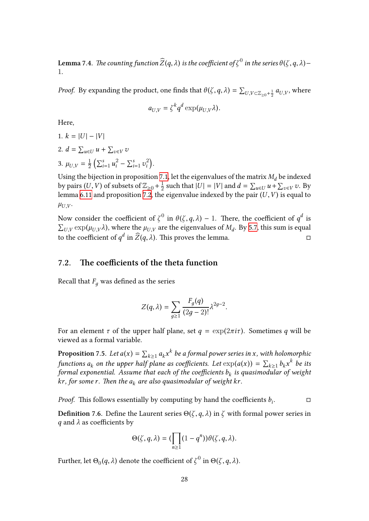${\bf Lemma}$  7.4. *The counting function*  $\widehat{Z}(q,\lambda)$  *is the coefficient of*  $\zeta^0$  *in the series*  $\theta(\zeta,q,\lambda)-$ 1*.*

*Proof.* By expanding the product, one finds that  $\theta(\zeta, q, \lambda) = \sum_{U, V \subset \mathbb{Z}_{\geq 0} + \frac{1}{2}} a_{U, V}$ , where

$$
a_{U,V} = \zeta^k q^d \exp(\mu_{U,V} \lambda).
$$

Here,

1. 
$$
k = |U| - |V|
$$
  
\n2.  $d = \sum_{u \in U} u + \sum_{v \in V} v$   
\n3.  $\mu_{U,V} = \frac{1}{2} \left( \sum_{i=1}^{s} u_i^2 - \sum_{i=1}^{s} v_i^2 \right).$ 

Using the bijection in proposition 7.1, let the eigenvalues of the matrix  $M_d$  be indexed by pairs  $(U,V)$  of subsets of  $\mathbb{Z}_{\geq 0}$  +  $\frac{1}{2}$ by pairs  $(U, V)$  of subsets of  $\mathbb{Z}_{\geq 0} + \frac{1}{2}$  such that  $|U| = |V|$  and  $d = \sum_{u \in U} u + \sum_{v \in V} v$ . By lemma 6.11 and proposition 7.2, the eigenvalue indexed by the pair  $(U, V)$  is equal to  $\mu_{U,V}$ .

Now consider the coefficient of  $\zeta^0$  in  $\theta(\zeta,q,\lambda) - 1.$  There, the coefficient of  $q^d$  is  $U,V \exp(\mu_{U,V} \lambda)$  $U,V \exp(\mu_{U,V} \lambda)$  $U,V \exp(\mu_{U,V} \lambda)$ , where the  $\mu_{U,V}$  are the eigenvalues of  $M_d$ . By 5.7, this sum is equal to the coefficient of  $q^d$  in  $\widehat{Z}(q, \lambda)$ . This proves the lemma. □

# **7.2. The coefficients of the theta function** ∑

<span id="page-29-0"></span>Recall that  $F_q$  was defined as the series

$$
Z(q,\lambda)=\sum_{g\geq 1}\frac{F_g(q)}{(2g-2)!}\lambda^{2g-2}.
$$

For an element  $\tau$  of the upper half plane, set  $q = \exp(2\pi i \tau)$ . Sometimes  $q$  will be viewed as a formal variable.

**Proposition** 7.5. Let  $a(x) = \sum_{k\geq 1} a_k x^k$  be a formal power series in x, with holomorphic functions  $a_k$  on the upper half plane as coefficients. Let  $\exp(a(x)) = \sum_{k\geq 1} b_k x^k$  be its *formal exponential. Assume that each of the coefficients b<sup>k</sup> is quasimodular of weight kr, for some r. Then the a<sup>k</sup> are also quasimodular of weight kr.*

*Proof.* This follows essentially by computing by hand the coefficients  $b_i$ . □

**Definition 7.6.** Define the Laurent series  $\Theta(\zeta, q, \lambda)$  in  $\zeta$  with formal power series in *q* and *λ* as coefficients by

$$
\Theta(\zeta,q,\lambda)=(\prod_{n\geq 1}(1-q^n))\theta(\zeta,q,\lambda).
$$

Further, let  $\Theta_0(q,\lambda)$  denote the coefficient of  $\zeta^0$  in  $\Theta(\zeta,q,\lambda).$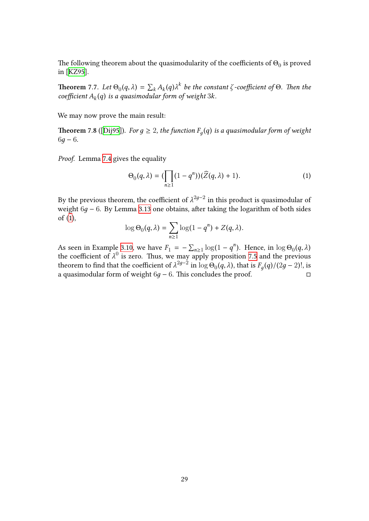The following theorem about the quasimodularity of the coefficients of  $\Theta_0$  is proved in [KZ95].

**Theorem** 7.7. Let  $\Theta_0(q, \lambda) = \sum_k A_k(q) \lambda^k$  be the constant *ζ* -coefficient of  $\Theta$ . Then the *coe[fficien](#page-42-1)t A<sup>k</sup>* (*q*) *is a quasimodular form of weight* 3*k.*

We may now prove the main result:

**Theorem 7.8** ([Dij95]). *For*  $g \geq 2$ , the function  $F_g(q)$  is a quasimodular form of weight  $6q - 6$ .

*Proof.* Lemma [7.4](#page-42-0) gives the equality

$$
\Theta_0(q,\lambda) = (\prod_{n\geq 1} (1-q^n))(\widehat{Z}(q,\lambda) + 1). \tag{1}
$$

By the previous theorem, the coefficient of  $\lambda^{2g-2}$  in this product is quasimodular of weight 6g − 6. By Lemma 3.13 one obtains, after taking the logarithm of both sides of (1),

<span id="page-30-0"></span>
$$
\log \Theta_0(q,\lambda) = \sum_{n\geq 1} \log(1-q^n) + Z(q,\lambda).
$$

As [se](#page-30-0)en in Example 3.10, [we h](#page-14-0)ave  $F_1 = -\sum_{n\geq 1} \log(1 - q^n)$ . Hence, in  $\log \Theta_0(q, \lambda)$ the coefficient of  $\lambda^0$  is zero. Thus, we may apply proposition 7.5 and the previous theorem to find that the coefficient of  $\lambda^{2g-2}$  in  $\log \Theta_0(q, \lambda)$ , that is  $F_g(q)/(2g-2)!$ , is a quasimodular for[m of w](#page-13-0)eight  $6g - 6$ . This concludes the proof.  $\Box$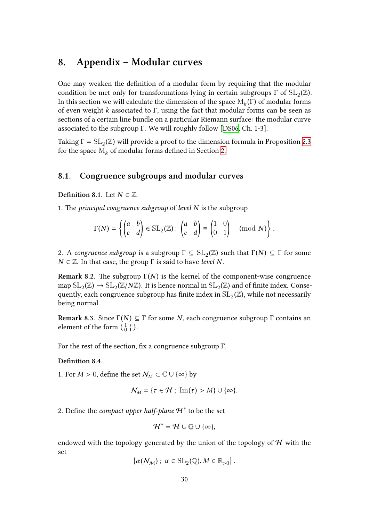# **8. Appendix – Modular curves**

<span id="page-31-0"></span>One may weaken the definition of a modular form by requiring that the modular condition be met only for transformations lying in certain subgroups  $\Gamma$  of  $\mathrm{SL}_2(\mathbb{Z}).$ In this section we will calculate the dimension of the space  $\mathrm{M}_k(\Gamma)$  of modular forms of even weight *k* associated to Γ, using the fact that modular forms can be seen as sections of a certain line bundle on a particular Riemann surface: the modular curve associated to the subgroup Γ. We will roughly follow [DS06, Ch. 1-3].

Taking  $\Gamma = \mathrm{SL}_2(\mathbb{Z})$  will provide a proof to the dimension formula in Proposition 2.3 for the space  $M_k$  of modular forms defined in Section 2.

#### **8.1. Congruence subgroups and modular [cu](#page-5-0)rves**

<span id="page-31-1"></span>**Definition 8.1.** Let  $N \in \mathbb{Z}$ .

1. The *principal congruence subgroup* of *level N* is the subgroup

3.1. Let 
$$
N \in \mathbb{Z}
$$
.  
\n*ipal congruence subgroup of level N is the subgroup*  
\n
$$
\Gamma(N) = \left\{ \begin{pmatrix} a & b \\ c & d \end{pmatrix} \in SL_2(\mathbb{Z}) ; \begin{pmatrix} a & b \\ c & d \end{pmatrix} \equiv \begin{pmatrix} 1 & 0 \\ 0 & 1 \end{pmatrix} \pmod{N} \right\}.
$$

2. A *congruence subgroup* is a subgroup  $\Gamma \subseteq SL_2(\mathbb{Z})$  such that  $\Gamma(N) \subseteq \Gamma$  for some  $N \in \mathbb{Z}$ . In that case, the group  $\Gamma$  is said to have *level N*.

**Remark 8.2.** The subgroup Γ(*N*) is the kernel of the component-wise congruence map  $SL_2(\mathbb{Z}) \to SL_2(\mathbb{Z}/N\mathbb{Z})$ . It is hence normal in  $SL_2(\mathbb{Z})$  and of finite index. Consequently, each congruence subgroup has finite index in  $\mathrm{SL}_2(\mathbb{Z})$ , while not necessarily being normal. map  $SL_2(\mathbb{Z}) \rightarrow SL_2(\mathbb{Z}/N\mathbb{Z})$ <br>quently, each congruence s<br>being normal.<br>**Remark 8.3.** Since  $\Gamma(N) \subseteq$ <br>element of the form  $\left(\frac{1}{0}\right)^*$ .

**Remark 8.3.** Since Γ(*N*) ⊆ Γ for some *N*, each congruence subgroup Γ contains an

<span id="page-31-2"></span>For the rest of the section, fix a congruence subgroup Γ.

#### **Definition 8.4.**

1. For  $M > 0$ , define the set  $\mathcal{N}_M \subset \mathbb{C} \cup \{\infty\}$  by

$$
\mathcal{N}_M = \{ \tau \in \mathcal{H} ; \ \mathrm{Im}(\tau) > M \} \cup \{ \infty \}.
$$

2. Define the *compact upper half-plane H*<sup>\*</sup> to be the set

$$
\mathcal{H}^* = \mathcal{H} \cup \mathbb{Q} \cup \{\infty\},\
$$

endowed with the topology generated by the union of the topology of  $H$  with the set

$$
\{\alpha(\mathcal{N}_{\mathcal{M}})\,;\ \alpha\in\mathrm{SL}_2(\mathbb{Q}), M\in\mathbb{R}_{>0}\}\,.
$$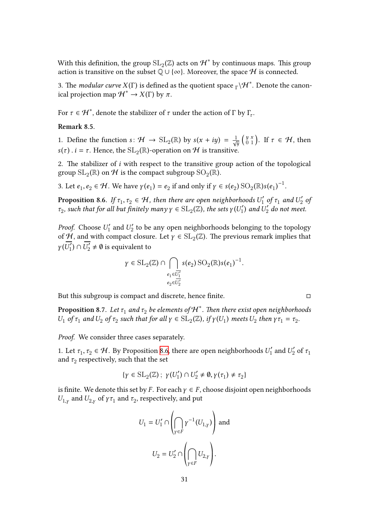With this definition, the group  $\mathrm{SL}_2(\mathbb{Z})$  acts on  $\mathcal{H}^*$  by continuous maps. This group action is transitive on the subset  $\mathbb{Q} \cup {\infty}$ . Moreover, the space  $\mathcal H$  is connected.

3. The *modular curve*  $X(\Gamma)$  is defined as the quotient space  $_{\Gamma}\backslash\mathcal{H}^*.$  Denote the canonical projection map  $\mathcal{H}^* \to X(\Gamma)$  by  $\pi$ .

For  $\tau \in \mathcal{H}^*$ , denote the stabilizer of  $\tau$  under the action of  $\Gamma$  by  $\Gamma_{\tau}$ .

#### **Remark 8.5.**

1. Define the function  $s: \mathcal{H} \to SL_2(\mathbb{R})$  by  $s(x + iy) = \frac{1}{\sqrt{y}}$  *y x*  $\Gamma_{\tau}$ .<br> $\int_{0}^{y} \frac{x}{1}$ . If  $\tau \in \mathcal{H}$ , then *s*( $\tau$ ) . *i* =  $\tau$ . Hence, the SL<sub>2</sub>( $\mathbb{R}$ )-operation on  $\mathcal{H}$  is transitive.

<span id="page-32-1"></span>2. The stabilizer of *i* with respect to the transitive group action of the topological group  $\mathrm{SL}_2(\mathbb{R})$  on  $\mathcal H$  is the compact subgroup  $\mathrm{SO}_2(\mathbb{R}).$ 

3. Let  $e_1, e_2 \in \mathcal{H}$ . We have  $\gamma(e_1) = e_2$  if and only if  $\gamma \in s(e_2)$   $\mathrm{SO}_2(\mathbb{R})s(e_1)^{-1}$ .

**Proposition 8.6.** If  $\tau_1, \tau_2 \in \mathcal{H}$ , then there are open neighborhoods  $U_1'$  $U_1'$  of  $\tau_1$  and  $U_2'$ 2 *of*  $\tau_2$ , such that for all but finitely many  $\gamma \in SL_2(\mathbb{Z})$ , the sets  $\gamma(U_1)$  $U_1'$  and  $U_2'$  do not meet.

<span id="page-32-0"></span>*Proof.* Choose *U* ′  $U_1'$  and  $U_2'$  $z_{2}^{\prime}$  to be any open neighborhoods belonging to the topology of H, and with compact closure. Let  $\gamma \in SL_2(\mathbb{Z})$ . The previous remark implies that  $\gamma(\overline{U'_1})$  $\overline{U'_1}$ )  $\cap \overline{U'_2} \neq \emptyset$  is equivalent to

$$
\gamma \in \mathrm{SL}_2(\mathbb{Z}) \cap \bigcap_{\substack{e_1 \in \overline{U'_1} \\ e_2 \in \overline{U'_2}}} s(e_2) \, \mathrm{SO}_2(\mathbb{R}) s(e_1)^{-1}.
$$

But this subgroup is compact and discrete, hence finite.  $□$ 

 ${\bf Proposition \ 8.7.}$   $Let$   $\tau_1$   $and$   $\tau_2$   $be$   $elements$  of  ${\cal H}^*.$  Then there exist open neighborhoods *U*<sub>1</sub> *of*  $\tau_1$  *and*  $U_2$  *of*  $\tau_2$  *such that for all*  $\gamma \in SL_2(\mathbb{Z})$ *, if*  $\gamma(U_1)$  *meets*  $U_2$  *then*  $\gamma \tau_1 = \tau_2$ *.* 

*Proof.* We consider three cases separately.

1. Let  $\tau_1, \tau_2 \in \mathcal{H}$ . By Proposition 8.6, there are open neighborhoods  $U_1'$  $U_1'$  and  $U_2'$  of  $\tau_1$ and  $\tau_2$  respectively, such that the set

$$
\{\gamma\in\operatorname{SL}_2(\mathbb{Z})\,;\ \gamma(U_1')\cap U_2'\neq\emptyset, \gamma(\tau_1)\neq\tau_2\}
$$

is finite. We denote this set by *F*. For each  $\gamma \in F$ , choose disjoint open neighborhoods *U*<sub>1,*γ*</sub> and *U*<sub>2,*γ*</sub> of *γ*  $τ_1$  and  $τ_2$ , respectively, and put

$$
U_1 = U'_1 \cap \left(\bigcap_{\gamma \in F} \gamma^{-1}(U_{1,\gamma})\right) \text{ and }
$$
  

$$
U_2 = U'_2 \cap \left(\bigcap_{\gamma \in F} U_{2,\gamma}\right).
$$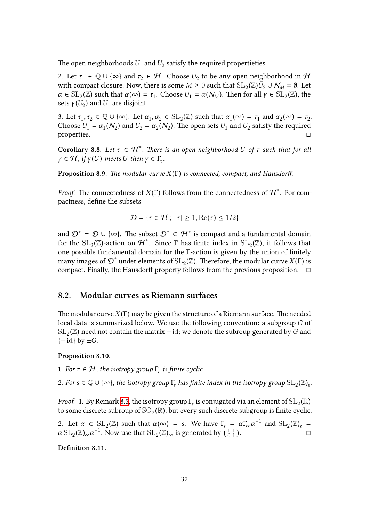The open neighborhoods  $U_1$  and  $U_2$  satisfy the required propertieties.

2. Let  $\tau_1 \in \mathbb{Q} \cup \{\infty\}$  and  $\tau_2 \in \mathcal{H}$ . Choose  $U_2$  to be any open neighborhood in  $\mathcal{H}$ with compact closure. Now, there is some  $M \geq 0$  such that  $\mathrm{SL}_2(\mathbb{Z}) \bar{\bar{U}}_2 \cup \mathcal{N}_M = \emptyset$ . Let  $\alpha \in SL_2(\mathbb{Z})$  such that  $\alpha(\infty) = \tau_1$ . Choose  $U_1 = \alpha(\mathcal{N}_M)$ . Then for all  $\gamma \in SL_2(\mathbb{Z})$ , the sets  $\gamma(U_2)$  and  $U_1$  are disjoint.

3. Let  $\tau_1, \tau_2 \in \mathbb{Q} \cup \{\infty\}$ . Let  $\alpha_1, \alpha_2 \in SL_2(\mathbb{Z})$  such that  $\alpha_1(\infty) = \tau_1$  and  $\alpha_2(\infty) = \tau_2$ . Choose  $U_1 = \alpha_1(\mathcal{N}_2)$  and  $U_2 = \alpha_2(\mathcal{N}_2)$ . The open sets  $U_1$  and  $U_2$  satisfy the required properties. □

**Corollary 8.8.** Let  $\tau \in H^*$ . There is an open neighborhood U of  $\tau$  such that for all  $\gamma \in \mathcal{H}$ , *if*  $\gamma$ (*U*) *meets U then*  $\gamma \in \Gamma_{\tau}$ .

<span id="page-33-1"></span>**Proposition 8.9.** *The modular curve X* (Γ) *is connected, compact, and Hausdorff.*

*Proof.* The connectedness of  $X(\Gamma)$  follows from the connectedness of  $\mathcal{H}^*$ . For compactness, define the subsets

$$
\mathcal{D} = \{ \tau \in \mathcal{H} ; \ |\tau| \ge 1, \text{Re}(\tau) \le 1/2 \}
$$

and  $\mathcal{D}^* = \mathcal{D} \cup \{\infty\}$ . The subset  $\mathcal{D}^* \subset \mathcal{H}^*$  is compact and a fundamental domain for the  $\mathrm{SL}_2(\mathbb{Z})$ -action on  $\mathcal{H}^*$ . Since  $\Gamma$  has finite index in  $\mathrm{SL}_2(\mathbb{Z})$ , it follows that one possible fundamental domain for the Γ-action is given by the union of finitely many images of  $\mathcal{D}^*$  under elements of  $\operatorname{SL}_2(\mathbb{Z})$ . Therefore, the modular curve  $X(\Gamma)$  is compact. Finally, the Hausdorff property follows from the previous proposition.  $\Box$ 

#### **8.2. Modular curves as Riemann surfaces**

<span id="page-33-0"></span>The modular curve*X* (Γ) may be given the structure of a Riemann surface. The needed local data is summarized below. We use the following convention: a subgroup *G* of  $\mathrm{SL}_2(\mathbb{Z})$  need not contain the matrix  $-$  id; we denote the subroup generated by  $G$  and {− id} by ±*G*.

#### **Proposition 8.10.**

- 1. *For*  $\tau \in \mathcal{H}$ , the isotropy group  $\Gamma_{\tau}$  is finite cyclic.
- 2. For  $s \in \mathbb{Q} \cup \{\infty\}$ , the isotropy group  $\Gamma_s$  has finite index in the isotropy group  $\mathrm{SL}_2(\mathbb{Z})_s$ .

*Proof.* 1. By Remark 8.5, the isotropy group  $\Gamma_{\!\tau}$  is conjugated via an element of  $\mathrm{SL}_2(\mathbb{R})$ to some discrete subroup of  ${\rm SO}_2(\mathbb R)$ , but every such discrete subgroup is finite cyclic.

2. Let  $\alpha \in SL_2(\mathbb{Z})$  such that  $\alpha(\infty) = s$ . We have  $\Gamma_s = \alpha \Gamma_{\infty} \alpha^{-1}$  and  $SL_2(\mathbb{Z})_s =$  $\alpha$  SL<sub>2</sub>(Z)<sub>∞</sub> $\alpha^{-1}$ . Now [use](#page-32-1) that SL<sub>2</sub>(Z)<sub>∞</sub> is generated by  $\left(\begin{smallmatrix} 1 & 1 \\ 0 & 1 \end{smallmatrix}\right)$ (ppy group  $\Gamma_{\tau}$  is conjuga<br>(R), but every such disc<br>(∞) = s. We have  $\Gamma_{\rm s}$ <br>(ℤ)<sub>∞</sub> is generated by ( . □

<span id="page-33-2"></span>**Definition 8.11.**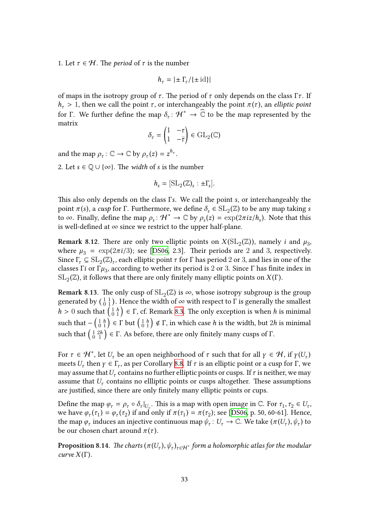1. Let  $\tau \in \mathcal{H}$ . The *period* of  $\tau$  is the number

$$
h_\tau = |\pm \Gamma_\tau/\{\pm\operatorname{id}\}|
$$

of maps in the isotropy group of  $τ$ . The period of  $τ$  only depends on the class Γ $τ$ . If *h*<sub>*τ*</sub> > 1, then we call the point *τ*, or interchangeably the point  $\pi(\tau)$ , an *elliptic point* for Γ. We further define the map  $\delta_\tau\colon\mathcal{H}^*\to\widehat{\mathbb{C}}$  to be the map represented by the matrix

$$
\delta_{\tau} = \begin{pmatrix} 1 & -\tau \\ 1 & -\overline{\tau} \end{pmatrix} \in \text{GL}_2(\mathbb{C})
$$

and the map  $\rho_{\tau} : \mathbb{C} \to \mathbb{C}$  by  $\rho_{\tau}(z) = z^{h_{\tau}}$ .

2. Let  $s \in \mathbb{Q} \cup \{\infty\}$ . The *width* of *s* is the number

$$
h_s = [\mathrm{SL}_2(\mathbb{Z})_s : \pm \Gamma_s].
$$

This also only depends on the class Γ*s*. We call the point *s*, or interchangeably the  $\text{point } π(s)$ , a *cusp* for Γ. Furthermore, we define  $\delta_s \in SL_2(\mathbb{Z})$  to be any map taking *s* to  $\infty$ . Finally, define the map  $\rho_s$ :  $\mathcal{H}^* \to \mathbb{C}$  by  $\rho_s(z) = \exp(2\pi i z/h_s)$ . Note that this is well-defined at  $\infty$  since we restrict to the upper half-plane.

**Remark 8.12.** There are only two elliptic points on  $X(SL_2(\mathbb{Z}))$ , namely *i* and  $\mu_3$ , where  $\mu_3 = \exp(2\pi i/3)$ ; see [DS06, 2.3]. Their periods are 2 and 3, respectively. Since  $\Gamma_{\tau} \subseteq SL_2(\mathbb{Z})_{\tau}$ , each elliptic point  $\tau$  for  $\Gamma$  has period 2 or 3, and lies in one of the classes Γ*i* or Γ $\mu_3$ , according to wether its period is 2 or 3. Since Γ has finite index in  $\mathrm{SL}_2(\mathbb{Z})$ , it follows that there ar[e only](#page-42-8) finitely many elliptic points on  $X(\Gamma)$ . since  $I_{\tau} \subseteq SL_2(\mathbb{Z})_{\tau}$ , each emptic point  $\tau$  for  $\Gamma$  has period  $\zeta$  or 3, and nes in one of the classes  $\Gamma i$  or  $\Gamma \mu_3$ , according to wether its period is 2 or 3. Since  $\Gamma$  has finite index in  $SL_2(\mathbb{Z})$ , i

**Remark 8.13.** The only cusp of  $SL_2(\mathbb{Z})$  is  $\infty$ , whose isotropy subgroup is the group *h*  $\text{SL}_2(\mathbb{Z})$ , it follows that there are only finitely many elliptic points on  $X(\Gamma)$ .<br>**Remark 8.13**. The only cusp of  $\text{SL}_2(\mathbb{Z})$  is  $\infty$ , whose isotropy subgroup is the group generated by  $\begin{pmatrix} 1 & 1 \ 0 & 1 \end{pm$ **Remark 8.13.** The only cusp of  $SL_2(\mathbb{Z})$  is  $\infty$ , whose isotropy subgroup is the group generated by  $\begin{pmatrix} 1 & 1 \\ 0 & 1 \end{pmatrix}$ . Hence the width of  $\infty$  with respect to  $\Gamma$  is generally the smallest  $h > 0$  such that Remark 8.13. T<br>generated by  $\begin{pmatrix} 1 \ 0 \end{pmatrix}$ <br> $h > 0$  such that<br>such that  $\begin{pmatrix} 1 & h \ 0 & 1 \end{pmatrix}$ <br>such that  $\begin{pmatrix} 1 & 2h \ 0 & 1 \end{pmatrix}$  $\binom{1}{0}$  = Γ. As before, there [are](#page-31-2) only finitely many cusps of Γ.

<span id="page-34-1"></span>For  $\tau \in H^*$ , let  $U_\tau$  be an open neighborhood of  $\tau$  such that for all  $\gamma \in H$ , if  $\gamma(U_\tau)$ meets  $U_{\tau}$  then  $\gamma \in \Gamma_{\tau}$ , as per Corollary 8.8. If  $\tau$  is an elliptic point or a cusp for Γ, we may assume that  $U_\tau$  contains no further elliptic points or cusps. If  $\tau$  is neither, we may assume that  $U_\tau$  contains no ellliptic points or cusps altogether. These assumptions are justified, since there are only finite[ly m](#page-33-1)any elliptic points or cups.

Define the map  $\varphi_{\tau} = \rho_{\tau} \circ \delta_{\tau}|_{U_{\tau}}$ . This is a map with open image in  $\mathbb{C}$ . For  $\tau_1, \tau_2 \in U_{\tau}$ , we have  $\varphi_{\tau}(\tau_1) = \varphi_{\tau}(\tau_2)$  if and only if  $\pi(\tau_1) = \pi(\tau_2)$ ; see [DS06, p. 50, 60-61]. Hence, the map  $\varphi_{\tau}$  induces an injective continuous map  $\psi_{\tau} : U_{\tau} \to \mathbb{C}$ . We take  $(\pi(U_{\tau}), \psi_{\tau})$  to be our chosen chart around  $\pi(\tau)$ .

<span id="page-34-0"></span> ${\bf Proposition \ 8.14.}$   $\,$   $The$   $charts$   $(\pi(U_\tau),\psi_\tau)_{\tau\in\mathcal H^*}$  form a holom[orphic](#page-42-8) atlas for the modular *curve*  $X(\Gamma)$ *.*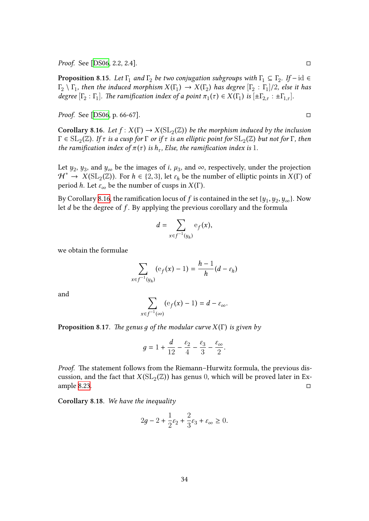*Proof.* See [DS06, 2.2, 2.4]. □

**Proposition 8.15.** Let  $\Gamma_1$  and  $\Gamma_2$  be two conjugation subgroups with  $\Gamma_1 \subseteq \Gamma_2$ . If – id  $\in$  $\Gamma_2 \setminus \Gamma_1$ *, then the induced morphism*  $X(\Gamma_1) \to X(\Gamma_2)$  *has degree*  $[\Gamma_2 : \Gamma_1]/2$ *, else it has degree*  $[\Gamma_2 : \Gamma_1]$ *[. Th](#page-42-8)e ramification index of a point*  $\pi_1(\tau) \in X(\Gamma_1)$  *is*  $[\pm \Gamma_{2,\tau} : \pm \Gamma_{1,\tau}]$ *.* 

*Proof.* See [DS06, p. 66-67]. □

**Corollary 8.16.** Let  $f: X(\Gamma) \to X(\mathrm{SL}_2(\mathbb{Z}))$  be the morphism induced by the inclusion  $\Gamma \in \mathrm{SL}_2(\mathbb{Z})$ . If  $\tau$  is a cusp for  $\Gamma$  or if  $\tau$  is an elliptic point for  $\mathrm{SL}_2(\mathbb{Z})$  but not for  $\Gamma$ , then *the ramific[ation in](#page-42-8)dex of*  $\pi(\tau)$  *is*  $h_{\tau}$ *, Else, the ramification index is* 1*.* 

Let  $y_2$ ,  $y_3$ , and  $y_\infty$  be the images of *i*,  $\mu_3$ , and  $\infty$ , respectively, under the projection  $\mathcal{H}^* \to X(\mathrm{SL}_2(\mathbb{Z}))$ . For  $h \in \{2,3\}$ , let  $\varepsilon_h$  be the number of elliptic points in  $X(\Gamma)$  of period *h*. Let  $\varepsilon_{\infty}$  be the number of cusps in  $X(\Gamma)$ .

By Corollary 8.16, the ramification locus of  $f$  is contained in the set  $\{y_1, y_2, y_\infty\}$ . Now let *d* be the degree of *f* . By applying the previous corollary and the formula

$$
d = \sum_{x \in f^{-1}(y_h)} \mathbf{e}_f(x),
$$

we obtain the formulae

$$
\sum_{x \in f^{-1}(y_h)} (\mathrm{e}_f(x) - 1) = \frac{h-1}{h}(d - \varepsilon_h)
$$

and

$$
\sum_{x\in f^{-1}(\infty)} ({\rm e}_f(x)-1)=d-\varepsilon_\infty.
$$

**Proposition 8.17.** *The genus д of the modular curve X* (Γ) *is given by*

$$
g = 1 + \frac{d}{12} - \frac{\varepsilon_2}{4} - \frac{\varepsilon_3}{3} - \frac{\varepsilon_\infty}{2}.
$$

*Proof.* The statement follows from the Riemann–Hurwitz formula, the previous discussion, and the fact that  $X(\mathrm{SL}_2(\mathbb{Z}))$  has genus 0, which will be proved later in Example 8.23.  $\Box$ 

<span id="page-35-0"></span>**Corollary 8.18.** *We have the inequality*

$$
2g - 2 + \frac{1}{2}\varepsilon_2 + \frac{2}{3}\varepsilon_3 + \varepsilon_\infty \ge 0.
$$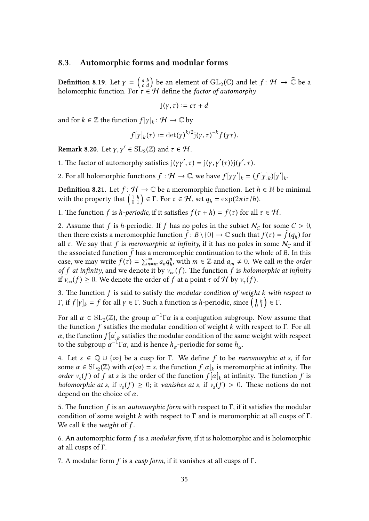#### **8.3. Automorphic forms and modular forms**

**8.3.** Automorphic forms and modular forms<br>Definition 8.19. Let  $\gamma = \begin{pmatrix} a & b \\ c & d \end{pmatrix}$  be an element of  $GL_2(\mathbb{C})$  and let  $f: \mathcal{H} \to \widehat{\mathbb{C}}$  be a holomorphic function. For *τ* ∈ H define the *factor of automorphy*

$$
j(\gamma,\tau):=c\tau+d
$$

and for  $k \in \mathbb{Z}$  the function  $f[\gamma]_k \colon \mathcal{H} \to \mathbb{C}$  by

$$
f[\gamma]_k(\tau) := \det(\gamma)^{k/2} \mathrm{j}(\gamma, \tau)^{-k} f(\gamma \tau).
$$

**Remark 8.20.** Let  $\gamma, \gamma' \in SL_2(\mathbb{Z})$  and  $\tau \in \mathcal{H}$ .

1. The factor of automorphy satisfies  $j(\gamma\gamma', \tau) = j(\gamma, \gamma'(\tau))j(\gamma', \tau)$ .

2. For all holomorphic functions  $f : \mathcal{H} \to \mathbb{C}$ , we have  $f[\gamma\gamma']_k = (f[\gamma]_k)[\gamma']_k$ .

**Definition 8.21.** Let  $f: \mathcal{H} \to \mathbb{C}$  be a meromorphic function. Let  $h \in \mathbb{N}$  be minimal 1. The factor of automorphy satisfies  $j(\gamma \gamma', \tau) = j(\gamma, \gamma'(\tau))j(\gamma', \tau)$ .<br>
2. For all holomorphic functions *f* : *H* → ℂ, we have  $f[\gamma \gamma']_k = (f$ <br> **Definition 8.21**. Let *f* : *H* → ℂ be a meromorphic function. Let *h*<br>
with

1. The function *f* is *h*-periodic, if it satisfies  $f(\tau + h) = f(\tau)$  for all  $\tau \in H$ .

2. Assume that *f* is *h*-periodic. If *f* has no poles in the subset  $N_C$  for some  $C > 0$ , then there exists a meromorphic function  $\tilde{f}: B \setminus \{0\} \to \mathbb{C}$  such that  $f(\tau) = \tilde{f}(q_h)$  for all  $\tau$ . We say that  $f$  is *meromorphic at infinity*, if it has no poles in some  $\mathcal{N}_C$  and if the associated function  $f$  has a meromorphic continuation to the whole of  $B$ . In this case, we may write  $f(\tau) = \sum_{n=m}^{\infty} a_n q_h^n$  $h_n^n$ , with  $m \in \mathbb{Z}$  and  $a_m \neq 0$ . We call *m* the *order of f at infinity*, and we denote it by  $v_{\infty}(f)$ . The function *f* is *holomorphic at infinity* if  $v_{\infty}(f) \geq 0$ . We denote the order of  $f$  at a point  $\tau$  of  $\mathcal H$  by  $v_{\tau}(f)$ . *case, we may write*  $f(\tau) = \sum_{n=m}^{\infty} a_n q_h^n$ *, with*  $m \in \mathbb{Z}$  *and*  $a_m \neq 0$ *. We call*  $m$  *of*  $f$  *at infinity, and we denote it by*  $v_{\infty}(f)$ *. The function*  $f$  *is <i>holomorphic* if  $v_{\infty}(f) \geq 0$ . We denote the order of  $f$ 

3. The function *f* is said to satisfy the *modular condition of weight k with respect to*

For all  $\alpha \in \mathrm{SL}_2(\mathbb{Z})$ , the group  $\alpha^{-1}\Gamma\alpha$  is a conjugation subgroup. Now assume that the function *f* satisfies the modular condition of weight *k* with respect to Γ. For all  $\alpha$ , the function  $f[\alpha]_k$  satisfies the modular condition of the same weight with respect to the subgroup  $\alpha^{-1}\Gamma\alpha$ , and is hence *h<sub>α</sub>*-periodic for some *h<sub>α</sub>*.

4. Let *s* ∈ Q ∪ {∞} be a cusp for Γ. We define *f* to be *meromorphic at s*, if for some  $\alpha \in SL_2(\mathbb{Z})$  with  $\alpha(\infty) = s$ , the function  $f[\alpha]_k$  is meromorphic at infinity. The *order*  $v_s(f)$  of *f* at *s* is the order of the function  $f[\alpha]_k$  at infinity. The function *f* is *holomorphic at s*, if  $v_s(f) \ge 0$ ; it *vanishes at s*, if  $v_s(f) > 0$ . These notions do not depend on the choice of *α*.

5. The function *f* is an *automorphic form* with respect to Γ, if it satisfies the modular condition of some weight *k* with respect to Γ and is meromorphic at all cusps of Γ. We call *k* the *weight* of *f* .

6. An automorphic form *f* is a *modular form*, if it is holomorphic and is holomorphic at all cusps of Γ.

7. A modular form *f* is a *cusp form*, if it vanishes at all cusps of Γ.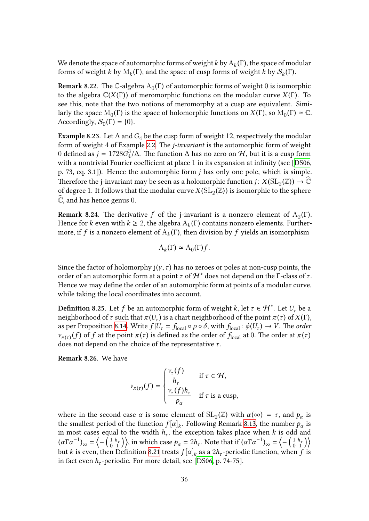We denote the space of automorphic forms of weight *k* by A*<sup>k</sup>* (Γ), the space of modular forms of weight *k* by  $\mathrm{M}_k(\Gamma)$ , and the space of cusp forms of weight *k* by  $\mathcal{S}_k(\Gamma)$ .

**Remark 8.22.** The C-algebra  $\mathrm{A}_0(\Gamma)$  of automorphic forms of weight  $0$  is isomorphic to the algebra C(*X* (Γ)) of meromorphic functions on the modular curve *X* (Γ). To see this, note that the two notions of meromorphy at a cusp are equivalent. Similarly the space  $M_0(\Gamma)$  is the space of holomorphic functions on  $X(\Gamma)$ , so  $M_0(\Gamma) \simeq \mathbb{C}$ . Accordingly,  $S_0(\Gamma) = \{0\}.$ 

**Example 8.23.** Let  $\Delta$  and  $G_4$  be the cusp form of weight 12, respectively the modular form of weight 4 of Example 2.2. The *j-invariant* is the automorphic form of weight 0 defined as  $j = 1728G_4^3$  $\frac{3}{4}$ /∆. The function ∆ has no zero on  $\mathcal{H}$ , but it is a cusp form with a nontrivial Fourier coefficient at place 1 in its expansion at infinity (see [DS06, p. 73, eq. 3.1]). Hence the a[utom](#page-5-3)orphic form *j* has only one pole, which is simple. Therefore the j-invariant may be seen as a holomorphic function  $j: X(\mathrm{SL}_2(\mathbb{Z})) \to \mathbb{C}$ ofdegree 1. It follows that the modular curve  $X(\mathrm{SL}_2(\mathbb{Z}))$  is isomorphic to the s[phere](#page-42-8)  $\mathbb{C}$ , and has hence genus 0.

**Remark 8.24.** The derivative  $j'$  of the j-invariant is a nonzero element of  $A_2(\Gamma)$ . Hence for *k* even with  $k \geq 2$ , the algebra  $A_k(\Gamma)$  contains nonzero elements. Furthermore, if  $f$  is a nonzero element of  $\mathrm{A}_k(\Gamma)$ , then division by  $f$  yields an isomorphism

$$
\mathcal{A}_k(\Gamma) \simeq \mathcal{A}_0(\Gamma) f.
$$

<span id="page-37-0"></span>Since the factor of holomorphy  $j(y, \tau)$  has no zeroes or poles at non-cusp points, the order of an automorphic form at a point  $\tau$  of  $\mathcal{H}^*$  does not depend on the  $\Gamma$ -class of  $\tau$ . Hence we may define the order of an automorphic form at points of a modular curve, while taking the local coordinates into account.

**Definition 8.25.** Let  $f$  be an automorphic form of weight  $k$ , let  $\tau \in \mathcal{H}^*$ . Let  $U_\tau$  be a neighborhood of  $\tau$  such that  $\pi(U_{\tau})$  is a chart neighborhood of the point  $\pi(\tau)$  of  $X(\Gamma)$ , as per Proposition 8.14. Write  $f|U_\tau = f_{\text{local}} \circ \rho \circ \delta$ , with  $f_{\text{local}}: \phi(U_\tau) \to V$ . The *order ν*<sub>*π*(*τ*)</sub>(*f*) of *f* at the point *π*(*τ*) is defined as the order of  $f_{local}$  at 0. The order at *π*(*τ*) does not depend on the choice of the representative *τ* .

**Remark 8.26.** We [have](#page-34-0)

$$
v_{\pi(\tau)}(f) = \begin{cases} \frac{v_{\tau}(f)}{h_{\tau}} & \text{if } \tau \in \mathcal{H}, \\ \frac{v_{\tau}(f)h_{\tau}}{p_{\alpha}} & \text{if } \tau \text{ is a cusp}, \end{cases}
$$

where in the second case  $\alpha$  is some element of  $SL_2(\mathbb{Z})$  with  $\alpha(\infty) = \tau$ , and  $p_\alpha$  is the smallest period of the function  $f[\alpha]_k$ . Following Remark 8.13, the number  $p_\alpha$  is in most cases equal to the width  $h_{\tau}$ , the exception takes place when  $k$  is odd and where in the second case  $\alpha$  is some element of  $SL_2(\mathbb{Z})$  with  $\alpha(\infty) = \tau$ , and  $p_\alpha$  is<br>the smallest period of the function  $f[\alpha]_k$ . Following Remark 8.13, the number  $p_\alpha$  is<br>in most cases equal to the width  $h_\tau$ , but  $k$  is even, then Definition 8.21 treats  $f[\alpha]_k$  as a  $2h_\tau$ -perio[dic fu](#page-34-1)nction, when  $f$  is in fact even *h<sup>τ</sup>* -periodic. For more detail, see [DS06, p. 74-75].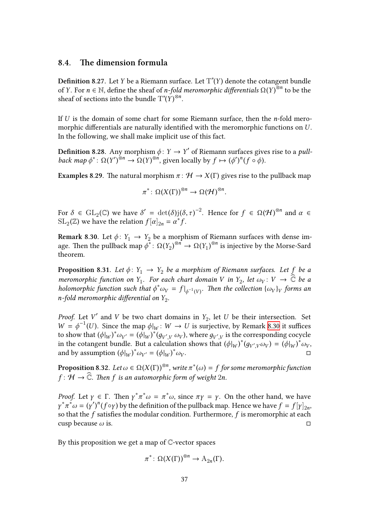#### **8.4. The dimension formula**

**Definition 8.27.** Let  $Y$  be a Riemann surface. Let  $T^*(Y)$  denote the cotangent bundle of *Y*. For *n* ∈ N, define the sheaf of *n-fold meromorphic differentials* Ω(*Y* ) ⊗*n* to be the sheaf of sections into the bundle  $T^*(Y)^{\otimes n}$ .

If *U* is the domain of some chart for some Riemann surface, then the *n*-fold meromorphic differentials are naturally identified with the meromorphic functions on *U* . In the following, we shall make implicit use of this fact.

**Definition 8.28.** Any morphism  $\phi: Y \to Y'$  of Riemann surfaces gives rise to a *pullback map*  $\phi^*$ :  $\Omega(Y')^{\otimes n} \to \Omega(Y)^{\otimes n}$ , given locally by  $f \mapsto (\phi')^n (f \circ \phi)$ .

**Examples 8.29.** The natural morphism  $\pi : \mathcal{H} \to X(\Gamma)$  gives rise to the pullback map

$$
\pi^* \colon \Omega(X(\Gamma))^{\otimes n} \to \Omega(\mathcal{H})^{\otimes n}.
$$

For  $\delta \in GL_2(\mathbb{C})$  we have  $\delta' = \det(\delta)j(\delta, \tau)^{-2}$ . Hence for  $f \in \Omega(\mathcal{H})^{\otimes n}$  and  $\alpha \in$  $\text{SL}_2(\mathbb{Z})$  we have the relation  $f[\alpha]_{2n} = \alpha^* f$ .

**Remark 8.30.** Let  $\phi: Y_1 \rightarrow Y_2$  be a morphism of Riemann surfaces with dense image. Then the pullback map  $\phi^*$ : Ω(*Y*<sub>2</sub>)<sup>⊗*n*</sup> → Ω(*Y*<sub>1</sub>)<sup>⊗*n*</sup> is injective by the Morse-Sard theorem.

<span id="page-38-0"></span>**Proposition 8.31.** *Let*  $\phi$ :  $Y_1 \rightarrow Y_2$  *be a morphism of Riemann surfaces. Let f be a meromorphic function on*  $Y_1$ *. For each chart domain V in*  $Y_2$ *, let*  $\omega_V$ : *V*  $\rightarrow$   $\mathbb{C}$  *be a holomorphic function such that*  $\phi^* \omega_V = f|_{\phi^{-1}(V)}$ . Then the collection  $\{\omega_V\}_V$  forms an *n-fold meromorphic differential on*  $Y_2$ .

*Proof.* Let *V*<sup>'</sup> and *V* be two chart domains in  $Y_2$ , let *U* be their intersection. Set  $W = \phi^{-1}(U)$ . Since the map  $\phi|_W : W \to U$  is surjective, by Remark 8.30 it suffices to show that  $(\phi|_W)^*\omega_{V'}=(\phi|_W)^*(g_{V',V}\,\omega_V)$ , where  $g_{V',V}$  is the corresponding cocycle in the cotangent bundle. But a calculation shows that  $(\phi|_W)^*(g_{V',V}\omega_V) = (\phi|_W)^*\omega_V$ , and by assumption  $(\phi|_W)^* \omega_{V'} = (\phi|_W)^* \omega_V$ . □

**Proposition 8.32.** Let  $\omega \in \Omega(X(\Gamma))^{\otimes n}$ , write  $\pi^*(\omega) = f$  for some meromorphic function  $f: H \to \widehat{\mathbb{C}}$ *. Then f is an automorphic form of weight* 2*n.* 

*Proof.* Let  $\gamma \in \Gamma$ . Then  $\gamma^* \pi^* \omega = \pi^* \omega$ , since  $\pi \gamma = \gamma$ . On the other hand, we have  $\gamma^* \pi^* \omega = (\gamma')^n (f \circ \gamma)$  by the definition of the pullback map. Hence we have  $f = f[\gamma]_{2n}$ , so that the *f* satisfies the modular condition. Furthermore, *f* is meromorphic at each cusp because  $\omega$  is.  $\square$ 

By this proposition we get a map of  $\mathbb{C}$ -vector spaces

$$
\pi^* \colon \Omega(X(\Gamma))^{\otimes n} \to A_{2n}(\Gamma).
$$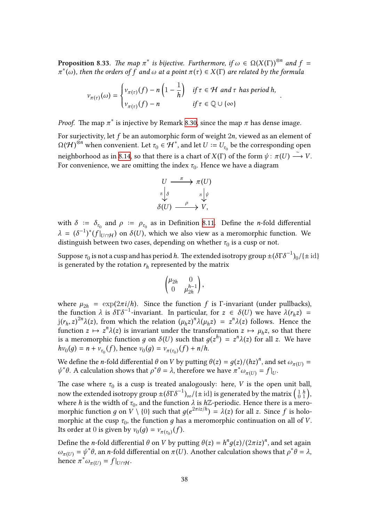**Proposition 8.33.** *The map*  $\pi^*$  *is bijective. Furthermore, if*  $\omega \in \Omega(X(\Gamma))^{\otimes n}$  *and*  $f =$  $\pi^*(\omega)$ , then the orders of  $f$  and  $\omega$  at a point  $\pi(\tau) \in X(\Gamma)$  are related by the formula

$$
v_{\pi(\tau)}(\omega) = \begin{cases} v_{\pi(\tau)}(f) - n \left(1 - \frac{1}{h}\right) & \text{if } \tau \in \mathcal{H} \text{ and } \tau \text{ has period } h, \\ v_{\pi(\tau)}(f) - n & \text{if } \tau \in \mathbb{Q} \cup \{\infty\} \end{cases}
$$

.

*Proof.* The map  $\pi^*$  is injective by Remark 8.30, since the map  $\pi$  has dense image.

For surjectivity, let *f* be an automorphic form of weight 2*n*, viewed as an element of  $\Omega(\mathcal{H})^{\check{\otimes}n}$  when convenient. Let  $\tau_0\in\mathcal{H}^*$ , and let  $U\coloneqq U_{\tau_0}$  be the corresponding open neighborhood as in 8.14, so that there is a [char](#page-38-0)t of  $X(\Gamma)$  of the form  $\psi : \pi(U) \stackrel{\sim}{\longrightarrow} V$ . For convenience, we are omitting the index  $\tau_0$ . Hence we have a diagram

$$
U \xrightarrow{\pi} \pi(U)
$$
  
\n<sup>a</sup>  $\downarrow \delta$   
\n $\delta(U) \xrightarrow{\rho} V$ ,

with  $\delta := \delta_{\tau_0}$  and  $\rho := \rho_{\tau_0}$  as in Definition 8.11. Define the *n*-fold differential  $\lambda = (\delta^{-1})^*(f|_{U \cap H})$  on  $\delta(U)$ , which we also view as a meromorphic function. We distinguish between two cases, depending on whether  $\tau_0$  is a cusp or not.

Suppose  $\tau_0$  is not a cusp and has period  $h.$  The ex[tende](#page-33-2)d isotropy group  $\pm(\delta\Gamma\delta^{-1})_0/$  { $\pm$  id } is generated by the rotation  $r_h$  represented by the matrix

$$
\begin{pmatrix} \mu_{2h} & 0 \\ 0 & \mu_{2h}^{h-1} \end{pmatrix},
$$

where  $\mu_{2h} = \exp(2\pi i/h)$ . Since the function *f* is Γ-invariant (under pullbacks), the function  $\lambda$  is  $\delta \Gamma \delta^{-1}$ -invariant. In particular, for  $z \in \delta(U)$  we have  $\lambda(r_h z)$  =  $j(r_h, z)^{2n}\lambda(z)$ , from which the relation  $(\mu_h z)^n\lambda(\mu_h z) = z^n\lambda(z)$  follows. Hence the function  $z \mapsto z^n \lambda(z)$  is invariant under the transformation  $z \mapsto \mu_h z$ , so that there is a meromorphic function  $g$  on  $\delta(U)$  such that  $g(z^h) = z^n \lambda(z)$  for all  $z$ . We have  $h v_0(g) = n + v_{\tau_0}(f)$ , hence  $v_0(g) = v_{\pi(\tau_0)}(f) + n/h$ .

We define the *n*-fold differential  $\theta$  on  $V$  by putting  $\theta(z) = g(z)/(hz)^n$ , and set  $\omega_{\pi(U)} =$ *ψ*<sup>\*</sup>*θ*. A calculation shows that *ρ*<sup>\*</sup>*θ* = *λ*, therefore we have  $\pi^* \omega_{\pi(U)} = f|_U$ .

The case where  $\tau_0$  is a cusp is treated analogously: here, *V* is the open unit ball, Now define the *n*-fold differential θ on *V* by putting  $θ(z) = g(z)/(hz)<sup>n</sup>$ , and set  $ω_{π(U)} = ψ*θ$ . A calculation shows that  $ρ*θ = λ$ , therefore we have  $π*ω_{π(U)} = f|_U$ .<br>The case where  $τ_0$  is a cusp is treated analogously: where *h* is the width of  $\tau_0$ , and the function  $\lambda$  is  $h\mathbb{Z}$ -periodic. Hence there is a meromorphic function *g* on  $V \setminus \{0\}$  such that  $g(e^{2\pi i z/h}) = \lambda(z)$  for all *z*. Since *f* is holomorphic at the cusp  $\tau_0$ , the function  $g$  has a meromorphic continuation on all of  $V$ . Its order at 0 is given by  $v_0(g) = v_{\pi(\tau_0)}(f)$ .

Define the *n*-fold differential *θ* on *V* by putting  $θ(z) = h<sup>n</sup>g(z)/(2\pi iz)<sup>n</sup>$ , and set again  $ω$ <sub>*π*(*U*) =  $ψ$ <sup>\*</sup> $θ$ , an *n*-fold differential on *π*(*U*). Another calculation shows that  $ρ$ <sup>\*</sup> $θ$ </sup> =  $λ$ ,</sub> hence  $\pi^* \omega_{\pi(U)} = f|_{U \cap \mathcal{H}}$ .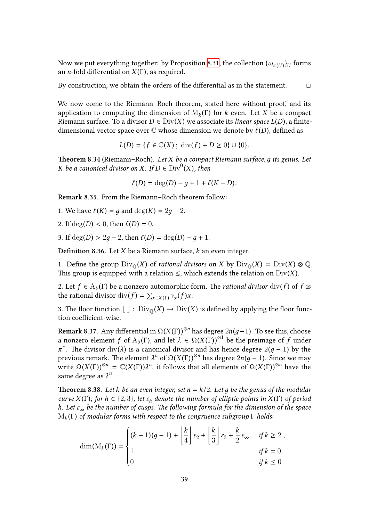Now we put everything together: by Proposition 8.31, the collection  $\{\omega_{\pi(U)}\}_{U}$  forms an *n*-fold differential on *X* (Γ), as required.

By construction, we obtain the orders of the differential as in the statement.  $\Box$ 

We now come to the Riemann–Roch theorem, stated here without proof, and its application to computing the dimension of M*<sup>k</sup>* (Γ) for *k* even. Let *X* be a compact Riemann surface. To a divisor  $D \in Div(X)$  we associate its *linear space*  $L(D)$ , a finitedimensional vector space over  $\mathbb C$  whose dimension we denote by  $\ell(D)$ , defined as

$$
L(D) = \{ f \in \mathbb{C}(X) \; ; \; \text{div}(f) + D \geq 0 \} \cup \{ 0 \}.
$$

**Theorem 8.34** (Riemann–Roch)**.** *Let X be a compact Riemann surface, д its genus. Let K be a canonical divisor on X. If*  $D \in Div^0(X)$ *, then* 

$$
\ell(D) = \deg(D) - g + 1 + \ell(K - D).
$$

**Remark 8.35.** From the Riemann–Roch theorem follow:

- 1. We have  $\ell(K) = q$  and  $deg(K) = 2q 2$ .
- 2. If  $deg(D) < 0$ , then  $\ell(D) = 0$ .
- 3. If  $deg(D) > 2q 2$ , then  $\ell(D) = deg(D) q + 1$ .

**Definition 8.36.** Let *X* be a Riemann surface, *k* an even integer.

1. Define the group  $Div_{\mathbb{Q}}(X)$  of *rational divisors* on *X* by  $Div_{\mathbb{Q}}(X) = Div(X) \otimes \mathbb{Q}$ . This group is equipped with a relation  $\leq$ , which extends the relation on  $Div(X)$ .

2. Let  $f \in A_k(\Gamma)$  be a nonzero automorphic form. The *rational divisor*  $div(f)$  of  $f$  is the rational divisor  $\text{div}(f) = \sum_{x \in X(\Gamma)} v_x(f)x$ .

3. The floor function  $\lfloor \ \rfloor : \mathrm{Div}_{\mathbb{Q}}(X) \to \mathrm{Div}(X)$  is defined by applying the floor function coefficient-wise.

<span id="page-40-0"></span>**Remark 8.37.** Any differential in Ω(*X* (Γ))⊗*<sup>n</sup>* has degree 2*n*(*д*−1). To see this, choose a nonzero element *f* of  $A_2(\Gamma)$ , and let  $\lambda \in \Omega(X(\Gamma))^{\otimes 1}$  be the preimage of *f* under *π*<sup>\*</sup>. The divisor div(*λ*) is a canonical divisor and has hence degree 2(*g* − 1) by the previous remark. The element  $λ^n$  of  $Ω(X(Γ))^{⊗^n}$  has degree  $2n(g − 1)$ . Since we may write  $\Omega(X(\Gamma))^{\otimes n} = \mathbb{C}(X(\Gamma))\lambda^n$ , it follows that all elements of  $\Omega(X(\Gamma))^{\otimes n}$  have the same degree as  $\lambda^n$ .

**Theorem 8.38.** *Let k be an even integer, set n* = *k*/2*. Let д be the genus of the modular curve*  $X(\Gamma)$ *; for*  $h \in \{2, 3\}$ *, let*  $\varepsilon_h$  *denote the number of elliptic points in*  $X(\Gamma)$  *of period h. Let ε*<sup>∞</sup> *be the number of cusps. The following formula for the dimension of the space* M*<sup>k</sup>* (Γ) *of modular forms with respect to the congruence subgroup* Γ *holds:*

<span id="page-40-1"></span>
$$
\dim(M_k(\Gamma)) = \begin{cases} (k-1)(g-1) + \left\lfloor \frac{k}{4} \right\rfloor \varepsilon_2 + \left\lfloor \frac{k}{3} \right\rfloor \varepsilon_3 + \frac{k}{2} \varepsilon_\infty & \text{if } k \ge 2 ,\\ 1 & \text{if } k = 0,\\ 0 & \text{if } k \le 0 \end{cases}.
$$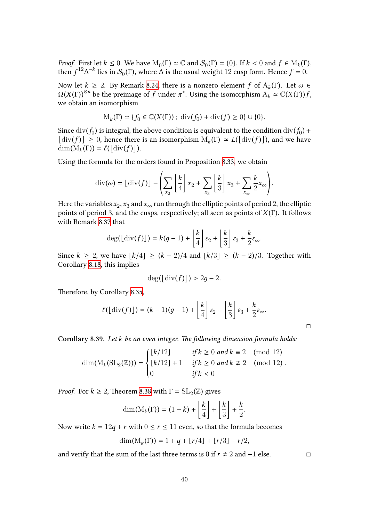*Proof.* First let  $k \le 0$ . We have  $M_0(\Gamma) \simeq \mathbb{C}$  and  $\mathcal{S}_0(\Gamma) = \{0\}$ . If  $k < 0$  and  $f \in M_k(\Gamma)$ , then  $f^{12}\Delta^{-k}$  lies in  $\mathcal{S}_0(\Gamma)$ , where  $\Delta$  is the usual weight 12 cusp form. Hence  $f = 0$ .

Now let *k* ≥ 2. By Remark 8.24, there is a nonzero element *f* of  $A_k(Γ)$ . Let  $ω ∈$  $\Omega(X(\Gamma))^{\otimes n}$  be the preimage of *f* under  $\pi^*$ . Using the isomorphism  $A_k \simeq \mathbb{C}(X(\Gamma))f$ , we obtain an isomorphism

$$
M_k(\Gamma) \simeq \{f_0 \in \mathbb{C}(X(\Gamma))\,;\,\mathrm{div}(f_0) + \mathrm{div}(f) \ge 0\} \cup \{0\}.
$$

Since  $\mathrm{div}(f_0)$  is integral, the above condition is equivalent to the condition  $\mathrm{div}(f_0)$  +  $\text{div}(f) \leq 0$ , hence there is an isomorphism  $M_k(\Gamma) \simeq L(\lfloor \text{div}(f) \rfloor)$ , and we have  $\text{div}(M(\Gamma)) = \ell(\lfloor \text{div}(f) \rfloor)$  $\dim(M_k(\Gamma)) = \ell(\lfloor \operatorname{div}(f) \rfloor).$ 

Using the formula for the orders found in Proposition 8.33, we obtain

$$
\operatorname{div}(\omega) = \lfloor \operatorname{div}(f) \rfloor - \left( \sum_{x_2} \left\lfloor \frac{k}{4} \right\rfloor x_2 + \sum_{x_3} \left\lfloor \frac{k}{3} \right\rfloor x_3 + \sum_{x_{\infty}} \frac{k}{2} x_{\infty} \right).
$$

Here the variables  $x_2, x_3$  and  $x_{\infty}$  run through the elliptic points of period 2, the elliptic points of period 3, and the cusps, respectively; all seen as points of *X* (Γ). It follows with Remark 8.37 that

$$
\deg\bigl(\lfloor \operatorname{div}(f) \rfloor\bigr)=k(g-1)+\left\lfloor \frac{k}{4} \right\rfloor \varepsilon_2 + \left\lfloor \frac{k}{3} \right\rfloor \varepsilon_3 + \frac{k}{2} \varepsilon_{\infty}.
$$

Since  $k \ge 2$ , [we](#page-40-0) have  $|k/4| \ge (k-2)/4$  and  $|k/3| \ge (k-2)/3$ . Together with Corollary 8.18, this implies

$$
\deg(\lfloor \operatorname{div}(f) \rfloor) > 2g - 2.
$$

Therefore[, by C](#page-35-0)orollary 8.35,

$$
\ell(\lfloor \mathrm{div}(f) \rfloor) = (k-1)(g-1) + \left\lfloor \frac{k}{4} \right\rfloor \varepsilon_2 + \left\lfloor \frac{k}{3} \right\rfloor \varepsilon_3 + \frac{k}{2} \varepsilon_{\infty}.
$$

□

.

**Corollary 8.39.** *Let k be an even integer. The following dimension formula holds:*

$$
\dim(\mathcal{M}_k(\mathrm{SL}_2(\mathbb{Z}))) = \begin{cases} \lfloor k/12 \rfloor & \text{if } k \ge 0 \text{ and } k \equiv 2 \pmod{12} \\ \lfloor k/12 \rfloor + 1 & \text{if } k \ge 0 \text{ and } k \not\equiv 2 \pmod{12} \\ 0 & \text{if } k < 0 \end{cases}
$$

<span id="page-41-0"></span>*Proof.* For  $k \geq 2$ , Theorem 8.38 with  $\Gamma = SL_2(\mathbb{Z})$  gives

$$
\dim(\mathrm{M}_k(\Gamma))=(1-k)+\left\lfloor\frac{k}{4}\right\rfloor+\left\lfloor\frac{k}{3}\right\rfloor+\frac{k}{2}.
$$

Now write  $k = 12q + r$  with  $0 \le r \le 11$  $0 \le r \le 11$  even, so that the formula becomes

$$
\dim(M_k(\Gamma)) = 1 + q + \lfloor r/4 \rfloor + \lfloor r/3 \rfloor - r/2,
$$

and verify that the sum of the last three terms is 0 if  $r \neq 2$  and  $-1$  else. □